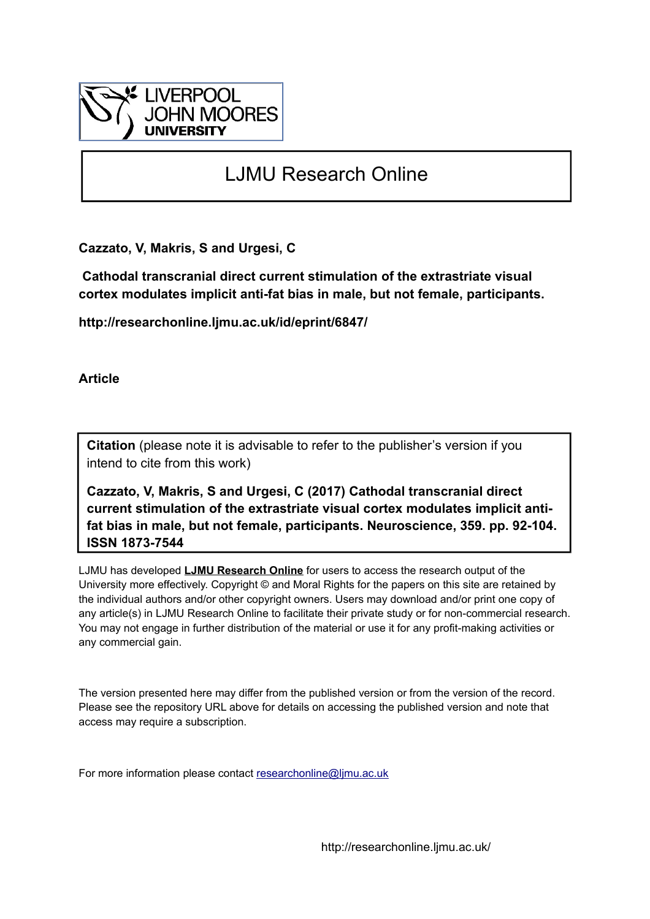

# LJMU Research Online

**Cazzato, V, Makris, S and Urgesi, C**

 **Cathodal transcranial direct current stimulation of the extrastriate visual cortex modulates implicit anti-fat bias in male, but not female, participants.**

**http://researchonline.ljmu.ac.uk/id/eprint/6847/**

**Article**

**Citation** (please note it is advisable to refer to the publisher's version if you intend to cite from this work)

**Cazzato, V, Makris, S and Urgesi, C (2017) Cathodal transcranial direct current stimulation of the extrastriate visual cortex modulates implicit antifat bias in male, but not female, participants. Neuroscience, 359. pp. 92-104. ISSN 1873-7544** 

LJMU has developed **[LJMU Research Online](http://researchonline.ljmu.ac.uk/)** for users to access the research output of the University more effectively. Copyright © and Moral Rights for the papers on this site are retained by the individual authors and/or other copyright owners. Users may download and/or print one copy of any article(s) in LJMU Research Online to facilitate their private study or for non-commercial research. You may not engage in further distribution of the material or use it for any profit-making activities or any commercial gain.

The version presented here may differ from the published version or from the version of the record. Please see the repository URL above for details on accessing the published version and note that access may require a subscription.

For more information please contact [researchonline@ljmu.ac.uk](mailto:researchonline@ljmu.ac.uk)

http://researchonline.ljmu.ac.uk/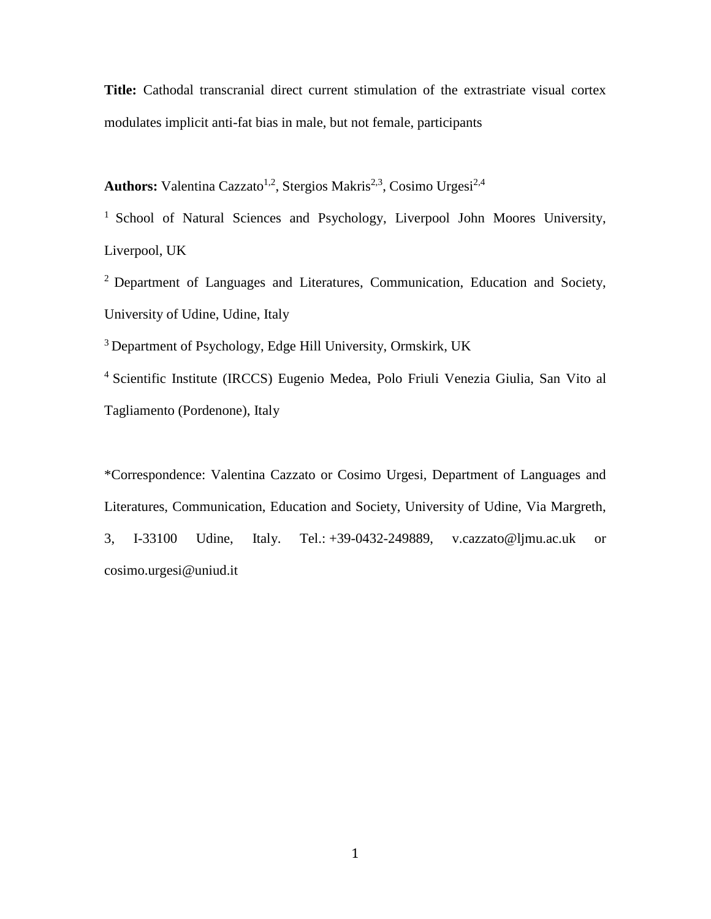Title: Cathodal transcranial direct current stimulation of the extrastriate visual cortex modulates implicit anti-fat bias in male, but not female, participants

**Authors:** Valentina Cazzato<sup>1,2</sup>, Stergios Makris<sup>2,3</sup>, Cosimo Urgesi<sup>2,4</sup>

<sup>1</sup> School of Natural Sciences and Psychology, Liverpool John Moores University, Liverpool, UK

2 Department of Languages and Literatures, Communication, Education and Society, University of Udine, Udine, Italy

3 Department of Psychology, Edge Hill University, Ormskirk, UK

4 Scientific Institute (IRCCS) Eugenio Medea, Polo Friuli Venezia Giulia, San Vito al Tagliamento (Pordenone), Italy

\*Correspondence: Valentina Cazzato or Cosimo Urgesi, Department of Languages and Literatures, Communication, Education and Society, University of Udine, Via Margreth, 3, I-33100 Udine, Italy. Tel.: +39-0432-249889, v.cazzato@ljmu.ac.uk or cosimo.urgesi@uniud.it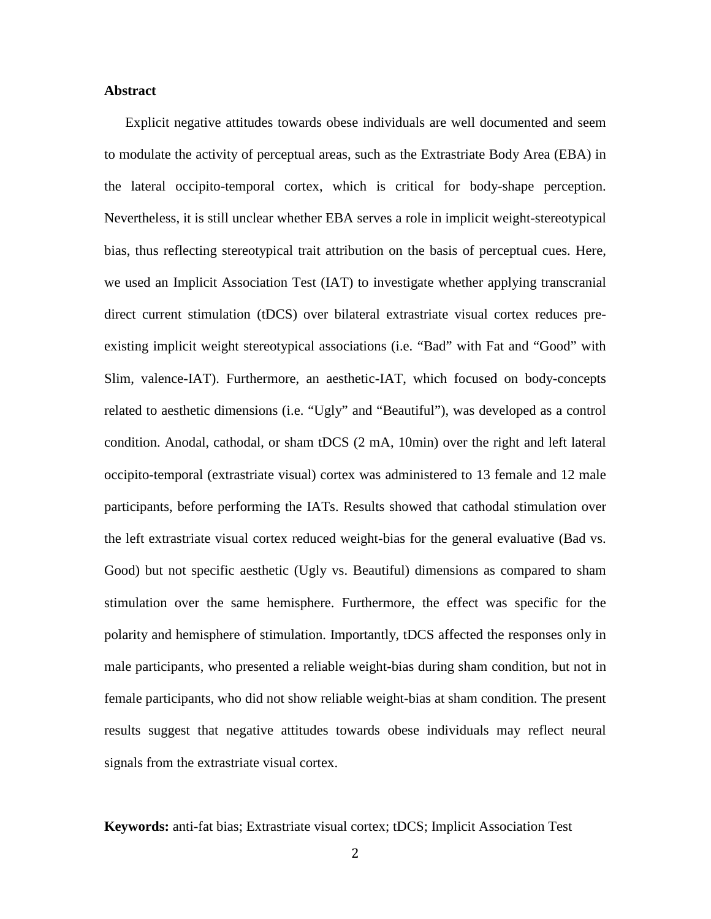#### **Abstract**

 Explicit negative attitudes towards obese individuals are well documented and seem to modulate the activity of perceptual areas, such as the Extrastriate Body Area (EBA) in the lateral occipito-temporal cortex, which is critical for body-shape perception. Nevertheless, it is still unclear whether EBA serves a role in implicit weight-stereotypical bias, thus reflecting stereotypical trait attribution on the basis of perceptual cues. Here, we used an Implicit Association Test (IAT) to investigate whether applying transcranial direct current stimulation (tDCS) over bilateral extrastriate visual cortex reduces preexisting implicit weight stereotypical associations (i.e. "Bad" with Fat and "Good" with Slim, valence-IAT). Furthermore, an aesthetic-IAT, which focused on body-concepts related to aesthetic dimensions (i.e. "Ugly" and "Beautiful"), was developed as a control condition. Anodal, cathodal, or sham tDCS (2 mA, 10min) over the right and left lateral occipito-temporal (extrastriate visual) cortex was administered to 13 female and 12 male participants, before performing the IATs. Results showed that cathodal stimulation over the left extrastriate visual cortex reduced weight-bias for the general evaluative (Bad vs. Good) but not specific aesthetic (Ugly vs. Beautiful) dimensions as compared to sham stimulation over the same hemisphere. Furthermore, the effect was specific for the polarity and hemisphere of stimulation. Importantly, tDCS affected the responses only in male participants, who presented a reliable weight-bias during sham condition, but not in female participants, who did not show reliable weight-bias at sham condition. The present results suggest that negative attitudes towards obese individuals may reflect neural signals from the extrastriate visual cortex.

**Keywords:** anti-fat bias; Extrastriate visual cortex; tDCS; Implicit Association Test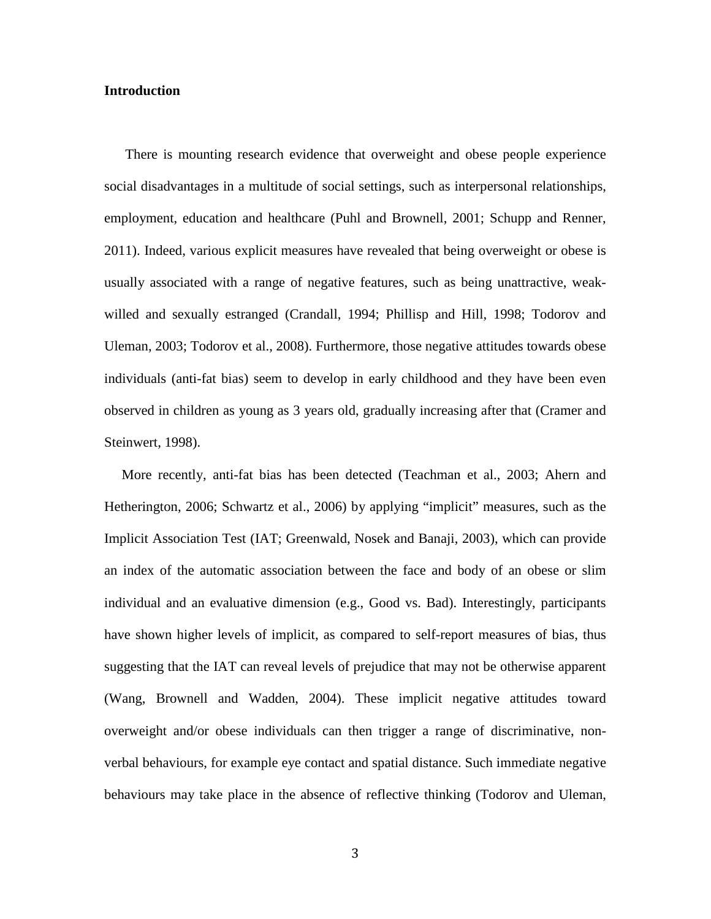## **Introduction**

 There is mounting research evidence that overweight and obese people experience social disadvantages in a multitude of social settings, such as interpersonal relationships, employment, education and healthcare (Puhl and Brownell, 2001; Schupp and Renner, 2011). Indeed, various explicit measures have revealed that being overweight or obese is usually associated with a range of negative features, such as being unattractive, weakwilled and sexually estranged (Crandall, 1994; Phillisp and Hill, 1998; Todorov and Uleman, 2003; Todorov et al., 2008). Furthermore, those negative attitudes towards obese individuals (anti-fat bias) seem to develop in early childhood and they have been even observed in children as young as 3 years old, gradually increasing after that (Cramer and Steinwert, 1998).

 More recently, anti-fat bias has been detected (Teachman et al., 2003; Ahern and Hetherington, 2006; Schwartz et al., 2006) by applying "implicit" measures, such as the Implicit Association Test (IAT; Greenwald, Nosek and Banaji, 2003), which can provide an index of the automatic association between the face and body of an obese or slim individual and an evaluative dimension (e.g., Good vs. Bad). Interestingly, participants have shown higher levels of implicit, as compared to self-report measures of bias, thus suggesting that the IAT can reveal levels of prejudice that may not be otherwise apparent (Wang, Brownell and Wadden, 2004). These implicit negative attitudes toward overweight and/or obese individuals can then trigger a range of discriminative, nonverbal behaviours, for example eye contact and spatial distance. Such immediate negative behaviours may take place in the absence of reflective thinking (Todorov and Uleman,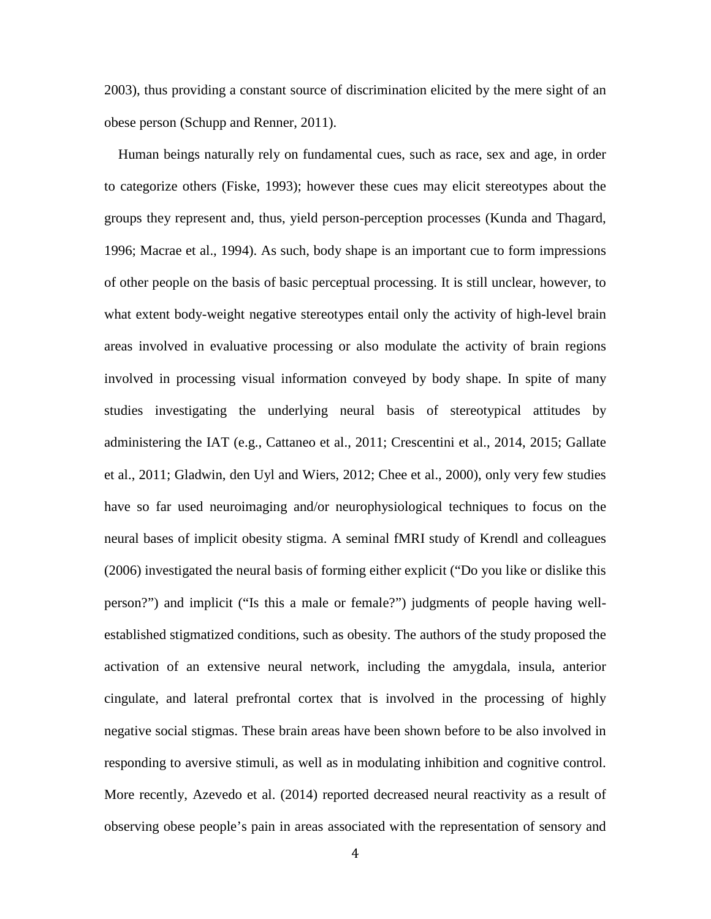2003), thus providing a constant source of discrimination elicited by the mere sight of an obese person (Schupp and Renner, 2011).

 Human beings naturally rely on fundamental cues, such as race, sex and age, in order to categorize others (Fiske, 1993); however these cues may elicit stereotypes about the groups they represent and, thus, yield person-perception processes (Kunda and Thagard, 1996; Macrae et al., 1994). As such, body shape is an important cue to form impressions of other people on the basis of basic perceptual processing. It is still unclear, however, to what extent body-weight negative stereotypes entail only the activity of high-level brain areas involved in evaluative processing or also modulate the activity of brain regions involved in processing visual information conveyed by body shape. In spite of many studies investigating the underlying neural basis of stereotypical attitudes by administering the IAT (e.g., Cattaneo et al., 2011; Crescentini et al., 2014, 2015; Gallate et al., 2011; Gladwin, den Uyl and Wiers, 2012; Chee et al., 2000), only very few studies have so far used neuroimaging and/or neurophysiological techniques to focus on the neural bases of implicit obesity stigma. A seminal fMRI study of Krendl and colleagues (2006) investigated the neural basis of forming either explicit ("Do you like or dislike this person?") and implicit ("Is this a male or female?") judgments of people having wellestablished stigmatized conditions, such as obesity. The authors of the study proposed the activation of an extensive neural network, including the amygdala, insula, anterior cingulate, and lateral prefrontal cortex that is involved in the processing of highly negative social stigmas. These brain areas have been shown before to be also involved in responding to aversive stimuli, as well as in modulating inhibition and cognitive control. More recently, Azevedo et al. (2014) reported decreased neural reactivity as a result of observing obese people's pain in areas associated with the representation of sensory and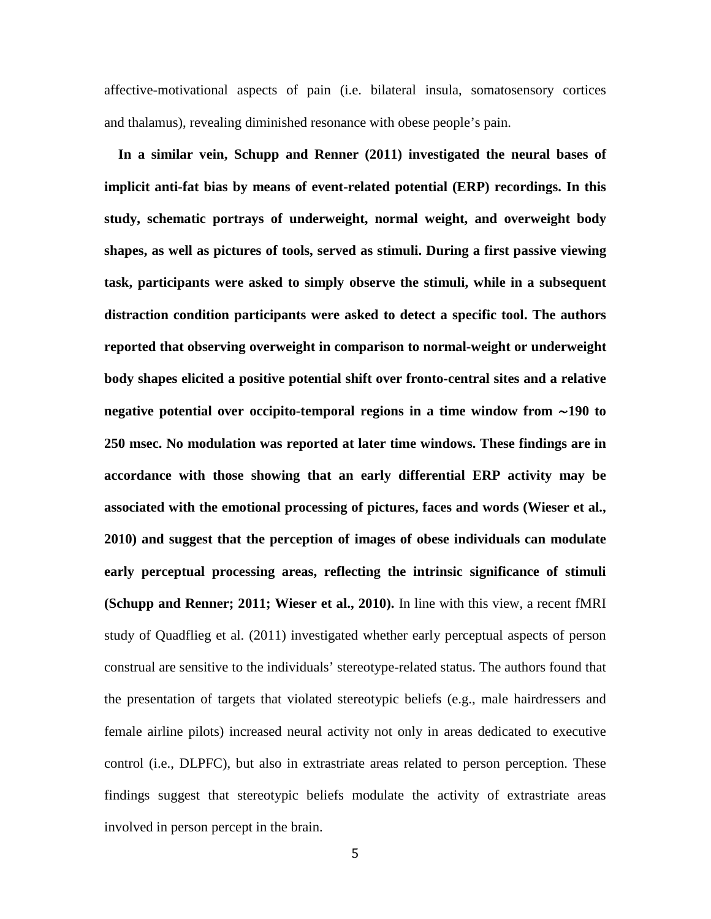affective-motivational aspects of pain (i.e. bilateral insula, somatosensory cortices and thalamus), revealing diminished resonance with obese people's pain.

 **In a similar vein, Schupp and Renner (2011) investigated the neural bases of implicit anti-fat bias by means of event-related potential (ERP) recordings. In this study, schematic portrays of underweight, normal weight, and overweight body shapes, as well as pictures of tools, served as stimuli. During a first passive viewing task, participants were asked to simply observe the stimuli, while in a subsequent distraction condition participants were asked to detect a specific tool. The authors reported that observing overweight in comparison to normal-weight or underweight body shapes elicited a positive potential shift over fronto-central sites and a relative negative potential over occipito-temporal regions in a time window from** ∼**190 to 250 msec. No modulation was reported at later time windows. These findings are in accordance with those showing that an early differential ERP activity may be associated with the emotional processing of pictures, faces and words (Wieser et al., 2010) and suggest that the perception of images of obese individuals can modulate early perceptual processing areas, reflecting the intrinsic significance of stimuli (Schupp and Renner; 2011; Wieser et al., 2010).** In line with this view, a recent fMRI study of Quadflieg et al. (2011) investigated whether early perceptual aspects of person construal are sensitive to the individuals' stereotype-related status. The authors found that the presentation of targets that violated stereotypic beliefs (e.g., male hairdressers and female airline pilots) increased neural activity not only in areas dedicated to executive control (i.e., DLPFC), but also in extrastriate areas related to person perception. These findings suggest that stereotypic beliefs modulate the activity of extrastriate areas involved in person percept in the brain.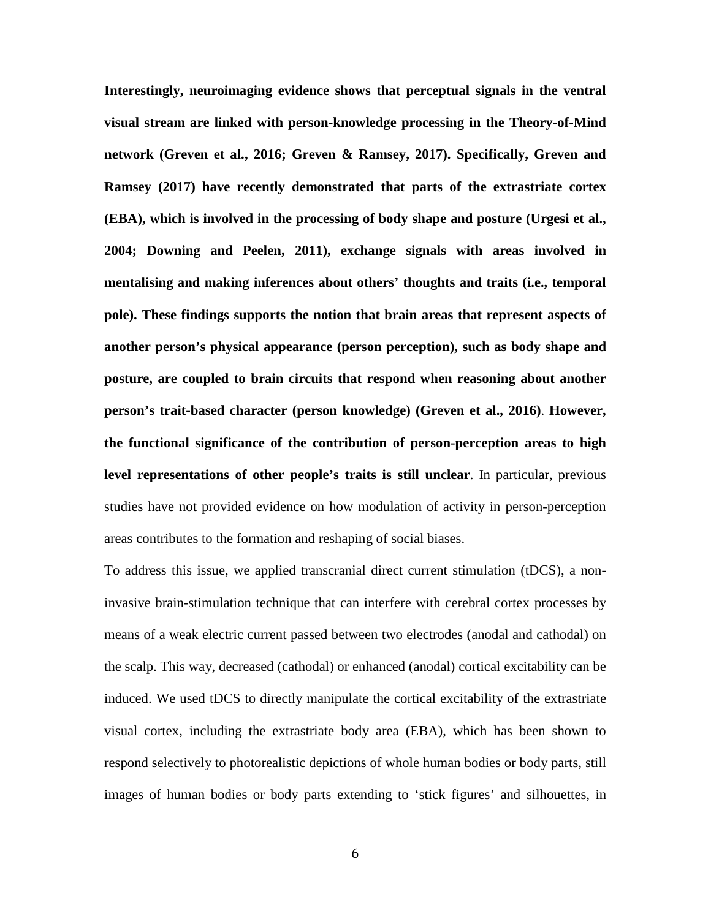**Interestingly, neuroimaging evidence shows that perceptual signals in the ventral visual stream are linked with person-knowledge processing in the Theory-of-Mind network (Greven et al., 2016; Greven & Ramsey, 2017). Specifically, Greven and Ramsey (2017) have recently demonstrated that parts of the extrastriate cortex (EBA), which is involved in the processing of body shape and posture (Urgesi et al., 2004; Downing and Peelen, 2011), exchange signals with areas involved in mentalising and making inferences about others' thoughts and traits (i.e., temporal pole). These findings supports the notion that brain areas that represent aspects of another person's physical appearance (person perception), such as body shape and posture, are coupled to brain circuits that respond when reasoning about another person's trait-based character (person knowledge) (Greven et al., 2016)**. **However, the functional significance of the contribution of person-perception areas to high level representations of other people's traits is still unclear**. In particular, previous studies have not provided evidence on how modulation of activity in person-perception areas contributes to the formation and reshaping of social biases.

To address this issue, we applied transcranial direct current stimulation (tDCS), a noninvasive brain-stimulation technique that can interfere with cerebral cortex processes by means of a weak electric current passed between two electrodes (anodal and cathodal) on the scalp. This way, decreased (cathodal) or enhanced (anodal) cortical excitability can be induced. We used tDCS to directly manipulate the cortical excitability of the extrastriate visual cortex, including the extrastriate body area (EBA), which has been shown to respond selectively to photorealistic depictions of whole human bodies or body parts, still images of human bodies or body parts extending to 'stick figures' and silhouettes, in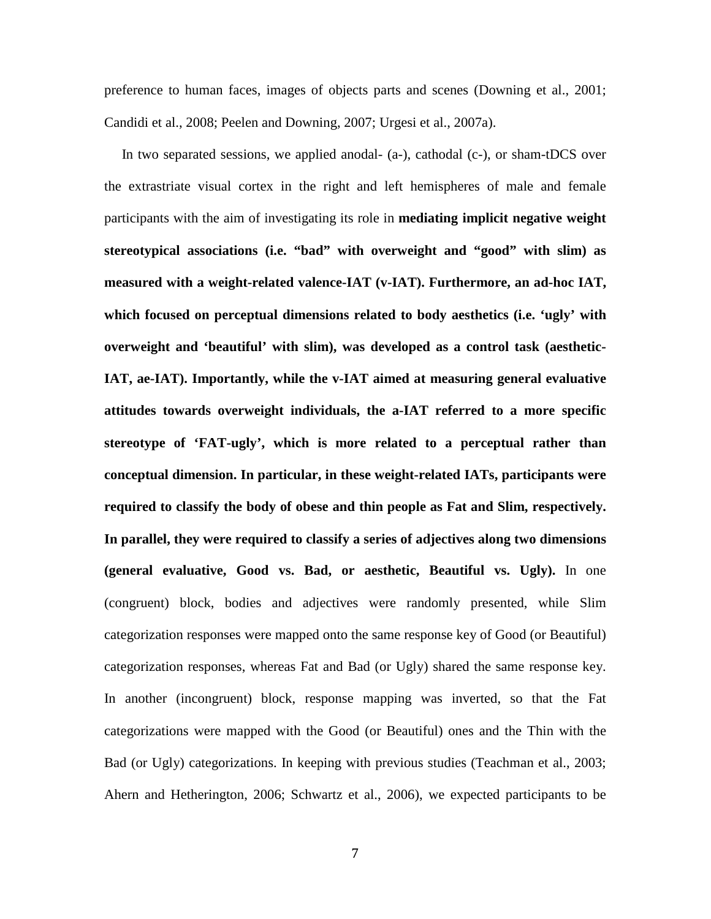preference to human faces, images of objects parts and scenes (Downing et al., 2001; Candidi et al., 2008; Peelen and Downing, 2007; Urgesi et al., 2007a).

In two separated sessions, we applied anodal- (a-), cathodal (c-), or sham-tDCS over the extrastriate visual cortex in the right and left hemispheres of male and female participants with the aim of investigating its role in **mediating implicit negative weight stereotypical associations (i.e. "bad" with overweight and "good" with slim) as measured with a weight-related valence-IAT (v-IAT). Furthermore, an ad-hoc IAT, which focused on perceptual dimensions related to body aesthetics (i.e. 'ugly' with overweight and 'beautiful' with slim), was developed as a control task (aesthetic-IAT, ae-IAT). Importantly, while the v-IAT aimed at measuring general evaluative attitudes towards overweight individuals, the a-IAT referred to a more specific stereotype of 'FAT-ugly', which is more related to a perceptual rather than conceptual dimension. In particular, in these weight-related IATs, participants were required to classify the body of obese and thin people as Fat and Slim, respectively. In parallel, they were required to classify a series of adjectives along two dimensions (general evaluative, Good vs. Bad, or aesthetic, Beautiful vs. Ugly).** In one (congruent) block, bodies and adjectives were randomly presented, while Slim categorization responses were mapped onto the same response key of Good (or Beautiful) categorization responses, whereas Fat and Bad (or Ugly) shared the same response key. In another (incongruent) block, response mapping was inverted, so that the Fat categorizations were mapped with the Good (or Beautiful) ones and the Thin with the Bad (or Ugly) categorizations. In keeping with previous studies (Teachman et al., 2003; Ahern and Hetherington, 2006; Schwartz et al., 2006), we expected participants to be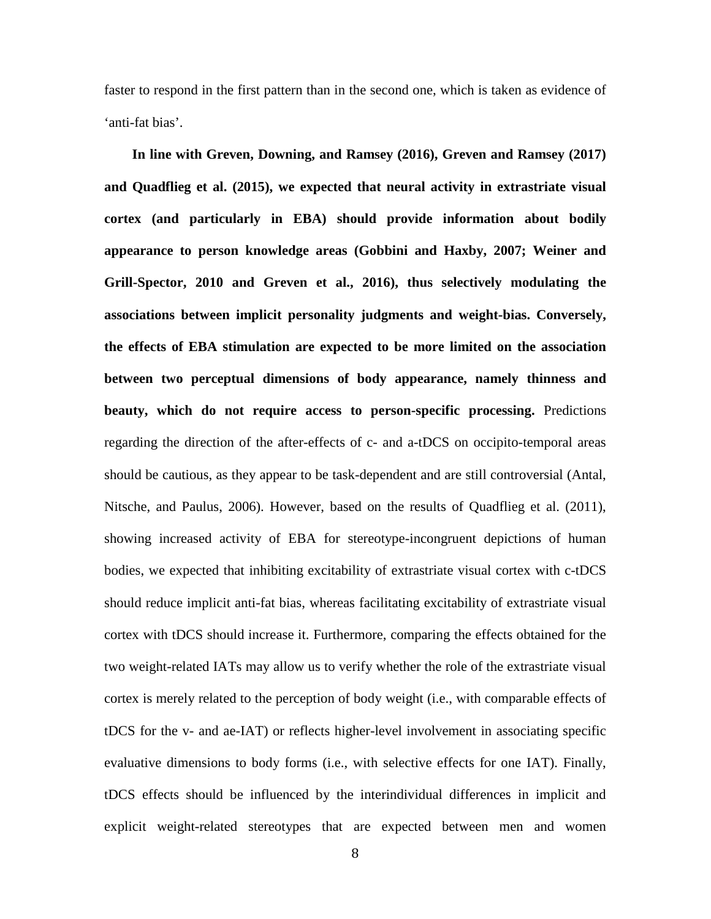faster to respond in the first pattern than in the second one, which is taken as evidence of 'anti-fat bias'.

 **In line with Greven, Downing, and Ramsey (2016), Greven and Ramsey (2017) and Quadflieg et al. (2015), we expected that neural activity in extrastriate visual cortex (and particularly in EBA) should provide information about bodily appearance to person knowledge areas (Gobbini and Haxby, 2007; Weiner and Grill-Spector, 2010 and Greven et al., 2016), thus selectively modulating the associations between implicit personality judgments and weight-bias. Conversely, the effects of EBA stimulation are expected to be more limited on the association between two perceptual dimensions of body appearance, namely thinness and beauty, which do not require access to person-specific processing.** Predictions regarding the direction of the after-effects of c- and a-tDCS on occipito-temporal areas should be cautious, as they appear to be task-dependent and are still controversial (Antal, Nitsche, and Paulus, 2006). However, based on the results of Quadflieg et al. (2011), showing increased activity of EBA for stereotype-incongruent depictions of human bodies, we expected that inhibiting excitability of extrastriate visual cortex with c-tDCS should reduce implicit anti-fat bias, whereas facilitating excitability of extrastriate visual cortex with tDCS should increase it. Furthermore, comparing the effects obtained for the two weight-related IATs may allow us to verify whether the role of the extrastriate visual cortex is merely related to the perception of body weight (i.e., with comparable effects of tDCS for the v- and ae-IAT) or reflects higher-level involvement in associating specific evaluative dimensions to body forms (i.e., with selective effects for one IAT). Finally, tDCS effects should be influenced by the interindividual differences in implicit and explicit weight-related stereotypes that are expected between men and women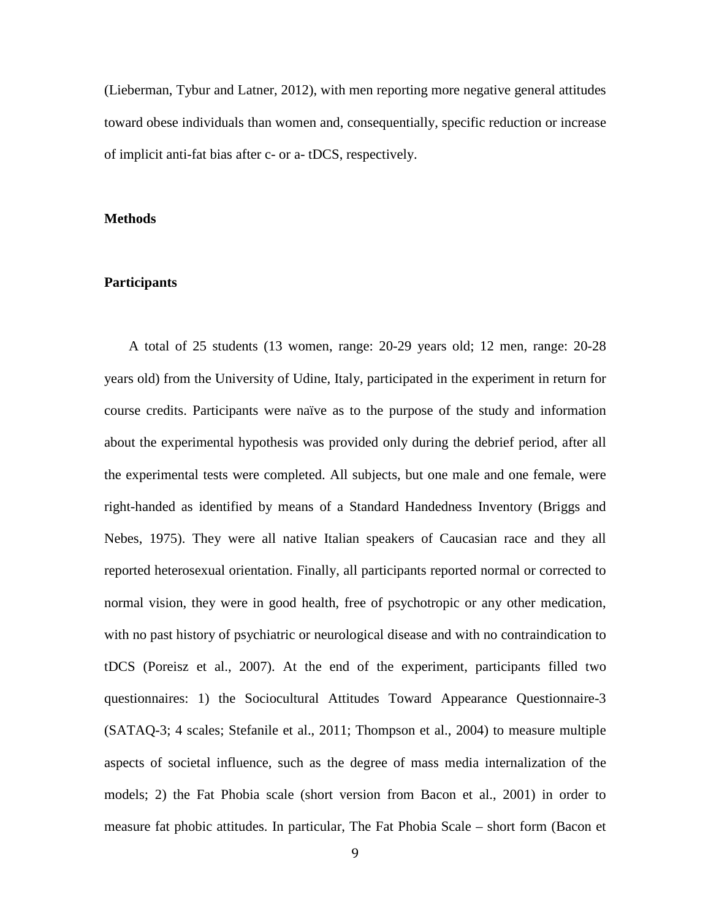(Lieberman, Tybur and Latner, 2012), with men reporting more negative general attitudes toward obese individuals than women and, consequentially, specific reduction or increase of implicit anti-fat bias after c- or a- tDCS, respectively.

#### **Methods**

#### **Participants**

 A total of 25 students (13 women, range: 20-29 years old; 12 men, range: 20-28 years old) from the University of Udine, Italy, participated in the experiment in return for course credits. Participants were naïve as to the purpose of the study and information about the experimental hypothesis was provided only during the debrief period, after all the experimental tests were completed. All subjects, but one male and one female, were right-handed as identified by means of a Standard Handedness Inventory (Briggs and Nebes, 1975). They were all native Italian speakers of Caucasian race and they all reported heterosexual orientation. Finally, all participants reported normal or corrected to normal vision, they were in good health, free of psychotropic or any other medication, with no past history of psychiatric or neurological disease and with no contraindication to tDCS (Poreisz et al., 2007). At the end of the experiment, participants filled two questionnaires: 1) the Sociocultural Attitudes Toward Appearance Questionnaire-3 (SATAQ-3; 4 scales; Stefanile et al., 2011; Thompson et al., 2004) to measure multiple aspects of societal influence, such as the degree of mass media internalization of the models; 2) the Fat Phobia scale (short version from Bacon et al., 2001) in order to measure fat phobic attitudes. In particular, The Fat Phobia Scale – short form (Bacon et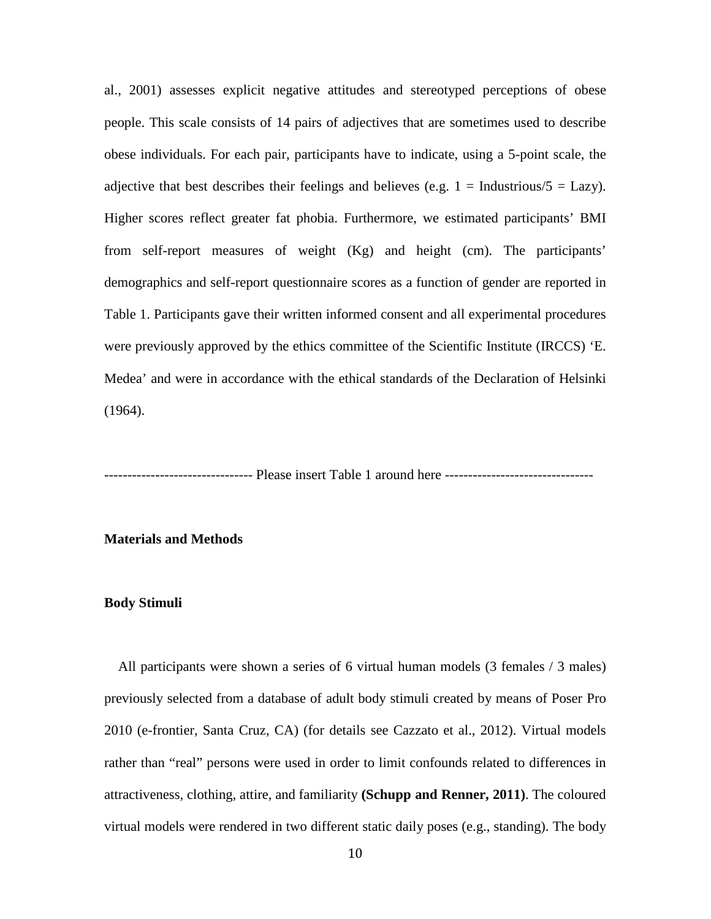al., 2001) assesses explicit negative attitudes and stereotyped perceptions of obese people. This scale consists of 14 pairs of adjectives that are sometimes used to describe obese individuals. For each pair, participants have to indicate, using a 5-point scale, the adjective that best describes their feelings and believes (e.g.  $1 =$  Industrious/5 = Lazy). Higher scores reflect greater fat phobia. Furthermore, we estimated participants' BMI from self-report measures of weight (Kg) and height (cm). The participants' demographics and self-report questionnaire scores as a function of gender are reported in Table 1. Participants gave their written informed consent and all experimental procedures were previously approved by the ethics committee of the Scientific Institute (IRCCS) 'E. Medea' and were in accordance with the ethical standards of the Declaration of Helsinki (1964).

-------------------------------- Please insert Table 1 around here --------------------------------

# **Materials and Methods**

## **Body Stimuli**

All participants were shown a series of 6 virtual human models (3 females / 3 males) previously selected from a database of adult body stimuli created by means of Poser Pro 2010 (e-frontier, Santa Cruz, CA) (for details see Cazzato et al., 2012). Virtual models rather than "real" persons were used in order to limit confounds related to differences in attractiveness, clothing, attire, and familiarity **(Schupp and Renner, 2011)**. The coloured virtual models were rendered in two different static daily poses (e.g., standing). The body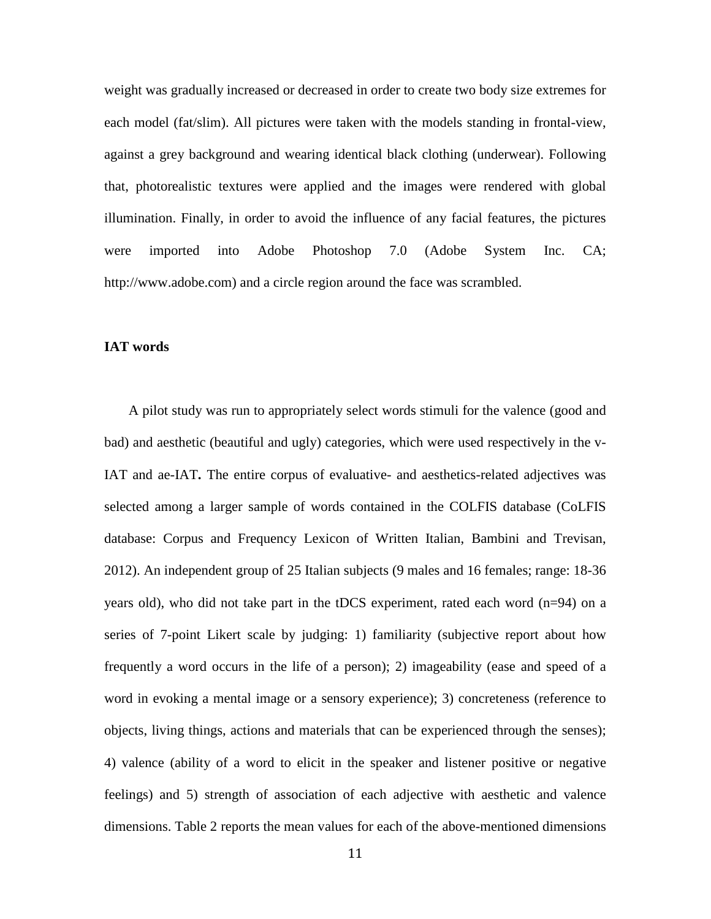weight was gradually increased or decreased in order to create two body size extremes for each model (fat/slim). All pictures were taken with the models standing in frontal-view, against a grey background and wearing identical black clothing (underwear). Following that, photorealistic textures were applied and the images were rendered with global illumination. Finally, in order to avoid the influence of any facial features, the pictures were imported into Adobe Photoshop 7.0 (Adobe System Inc. CA; http://www.adobe.com) and a circle region around the face was scrambled.

#### **IAT words**

 A pilot study was run to appropriately select words stimuli for the valence (good and bad) and aesthetic (beautiful and ugly) categories, which were used respectively in the v-IAT and ae-IAT**.** The entire corpus of evaluative- and aesthetics-related adjectives was selected among a larger sample of words contained in the COLFIS database (CoLFIS database: Corpus and Frequency Lexicon of Written Italian, Bambini and Trevisan, 2012). An independent group of 25 Italian subjects (9 males and 16 females; range: 18-36 years old), who did not take part in the tDCS experiment, rated each word  $(n=94)$  on a series of 7-point Likert scale by judging: 1) familiarity (subjective report about how frequently a word occurs in the life of a person); 2) imageability (ease and speed of a word in evoking a mental image or a sensory experience); 3) concreteness (reference to objects, living things, actions and materials that can be experienced through the senses); 4) valence (ability of a word to elicit in the speaker and listener positive or negative feelings) and 5) strength of association of each adjective with aesthetic and valence dimensions. Table 2 reports the mean values for each of the above-mentioned dimensions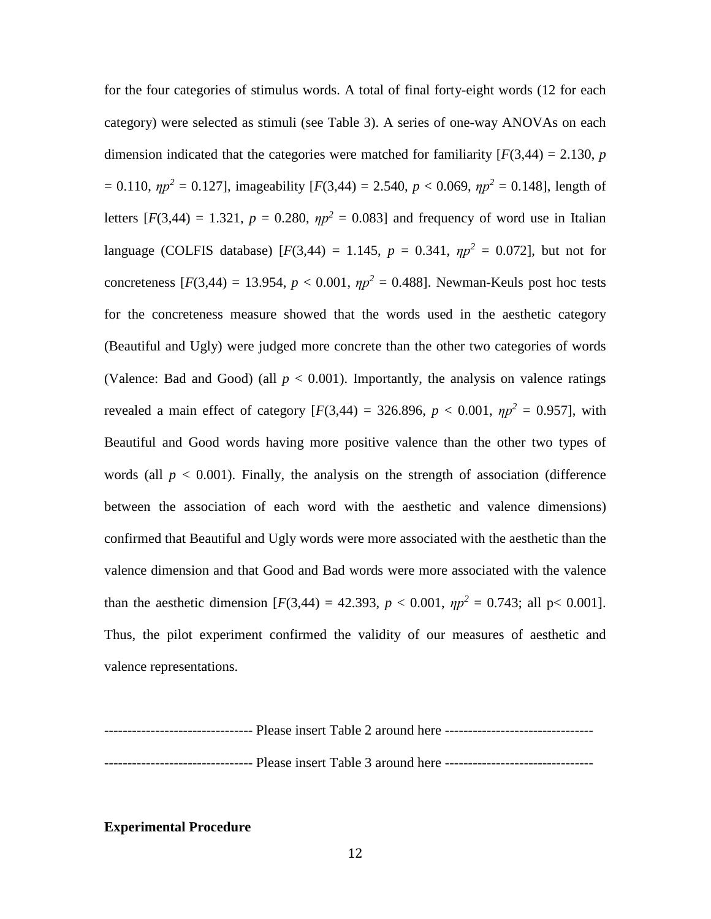for the four categories of stimulus words. A total of final forty-eight words (12 for each category) were selected as stimuli (see Table 3). A series of one-way ANOVAs on each dimension indicated that the categories were matched for familiarity  $[F(3,44) = 2.130, p$  $= 0.110$ ,  $\eta p^2 = 0.127$ ], imageability  $[F(3,44) = 2.540, p < 0.069, \eta p^2 = 0.148$ ], length of letters  $[F(3,44) = 1.321, p = 0.280, \eta p^2 = 0.083]$  and frequency of word use in Italian language (COLFIS database)  $[F(3,44) = 1.145, p = 0.341, \eta p^2 = 0.072]$ , but not for concreteness  $[F(3,44) = 13.954, p < 0.001, \eta p^2 = 0.488]$ . Newman-Keuls post hoc tests for the concreteness measure showed that the words used in the aesthetic category (Beautiful and Ugly) were judged more concrete than the other two categories of words (Valence: Bad and Good) (all  $p < 0.001$ ). Importantly, the analysis on valence ratings revealed a main effect of category  $[F(3,44) = 326.896, p < 0.001, \eta p^2 = 0.957]$ , with Beautiful and Good words having more positive valence than the other two types of words (all  $p < 0.001$ ). Finally, the analysis on the strength of association (difference between the association of each word with the aesthetic and valence dimensions) confirmed that Beautiful and Ugly words were more associated with the aesthetic than the valence dimension and that Good and Bad words were more associated with the valence than the aesthetic dimension  $[F(3,44) = 42.393, p < 0.001, \eta p^2 = 0.743$ ; all  $p < 0.001$ ]. Thus, the pilot experiment confirmed the validity of our measures of aesthetic and valence representations.

-------------------------------- Please insert Table 2 around here -------------------------------- -------------------------------- Please insert Table 3 around here --------------------------------

## **Experimental Procedure**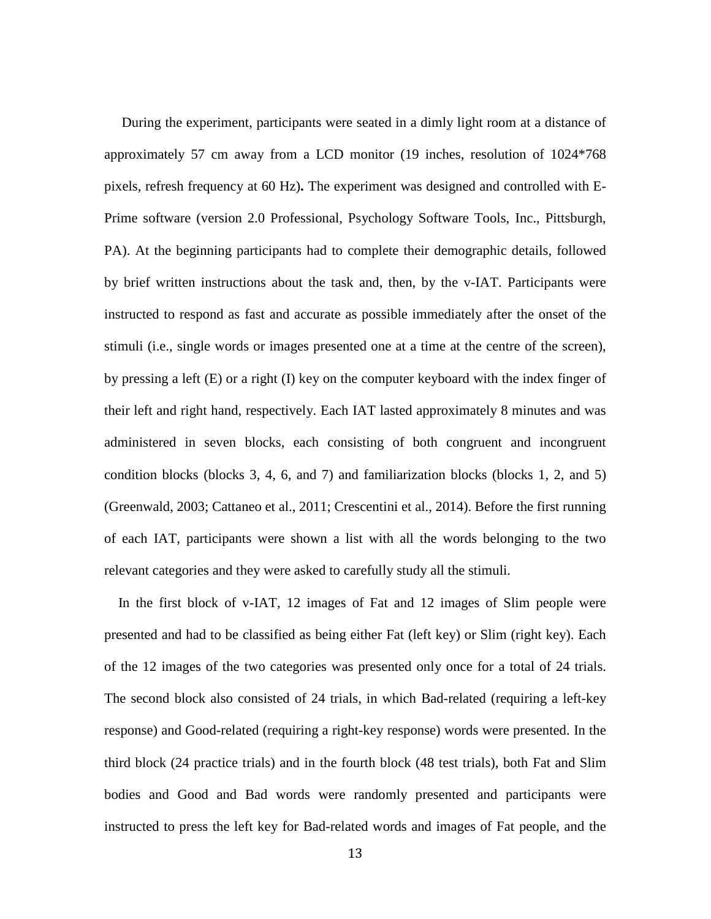During the experiment, participants were seated in a dimly light room at a distance of approximately 57 cm away from a LCD monitor (19 inches, resolution of 1024\*768 pixels, refresh frequency at 60 Hz)**.** The experiment was designed and controlled with E-Prime software (version 2.0 Professional, Psychology Software Tools, Inc., Pittsburgh, PA). At the beginning participants had to complete their demographic details, followed by brief written instructions about the task and, then, by the v-IAT. Participants were instructed to respond as fast and accurate as possible immediately after the onset of the stimuli (i.e., single words or images presented one at a time at the centre of the screen), by pressing a left (E) or a right (I) key on the computer keyboard with the index finger of their left and right hand, respectively. Each IAT lasted approximately 8 minutes and was administered in seven blocks, each consisting of both congruent and incongruent condition blocks (blocks 3, 4, 6, and 7) and familiarization blocks (blocks 1, 2, and 5) (Greenwald, 2003; Cattaneo et al., 2011; Crescentini et al., 2014). Before the first running of each IAT, participants were shown a list with all the words belonging to the two relevant categories and they were asked to carefully study all the stimuli.

 In the first block of v-IAT, 12 images of Fat and 12 images of Slim people were presented and had to be classified as being either Fat (left key) or Slim (right key). Each of the 12 images of the two categories was presented only once for a total of 24 trials. The second block also consisted of 24 trials, in which Bad-related (requiring a left-key response) and Good-related (requiring a right-key response) words were presented. In the third block (24 practice trials) and in the fourth block (48 test trials), both Fat and Slim bodies and Good and Bad words were randomly presented and participants were instructed to press the left key for Bad-related words and images of Fat people, and the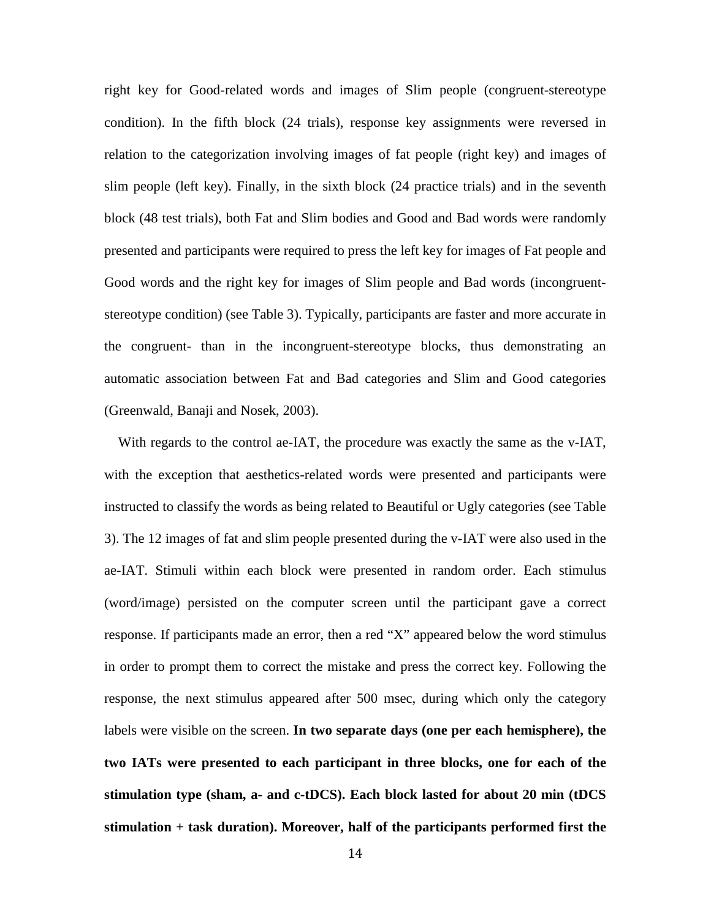right key for Good-related words and images of Slim people (congruent-stereotype condition). In the fifth block (24 trials), response key assignments were reversed in relation to the categorization involving images of fat people (right key) and images of slim people (left key). Finally, in the sixth block (24 practice trials) and in the seventh block (48 test trials), both Fat and Slim bodies and Good and Bad words were randomly presented and participants were required to press the left key for images of Fat people and Good words and the right key for images of Slim people and Bad words (incongruentstereotype condition) (see Table 3). Typically, participants are faster and more accurate in the congruent- than in the incongruent-stereotype blocks, thus demonstrating an automatic association between Fat and Bad categories and Slim and Good categories (Greenwald, Banaji and Nosek, 2003).

 With regards to the control ae-IAT, the procedure was exactly the same as the v-IAT, with the exception that aesthetics-related words were presented and participants were instructed to classify the words as being related to Beautiful or Ugly categories (see Table 3). The 12 images of fat and slim people presented during the v-IAT were also used in the ae-IAT. Stimuli within each block were presented in random order. Each stimulus (word/image) persisted on the computer screen until the participant gave a correct response. If participants made an error, then a red "X" appeared below the word stimulus in order to prompt them to correct the mistake and press the correct key. Following the response, the next stimulus appeared after 500 msec, during which only the category labels were visible on the screen. **In two separate days (one per each hemisphere), the two IATs were presented to each participant in three blocks, one for each of the stimulation type (sham, a- and c-tDCS). Each block lasted for about 20 min (tDCS stimulation + task duration). Moreover, half of the participants performed first the**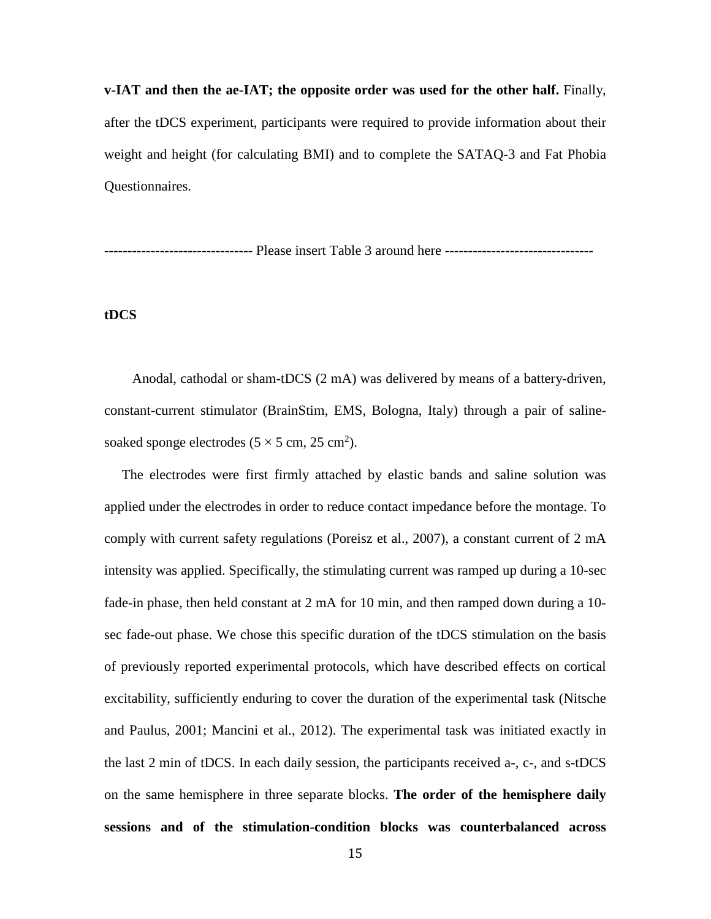**v-IAT and then the ae-IAT; the opposite order was used for the other half.** Finally, after the tDCS experiment, participants were required to provide information about their weight and height (for calculating BMI) and to complete the SATAQ-3 and Fat Phobia Questionnaires.

-------------------------------- Please insert Table 3 around here --------------------------------

## **tDCS**

 Anodal, cathodal or sham-tDCS (2 mA) was delivered by means of a battery-driven, constant-current stimulator (BrainStim, EMS, Bologna, Italy) through a pair of salinesoaked sponge electrodes  $(5 \times 5 \text{ cm}, 25 \text{ cm}^2)$ .

 The electrodes were first firmly attached by elastic bands and saline solution was applied under the electrodes in order to reduce contact impedance before the montage. To comply with current safety regulations (Poreisz et al., 2007), a constant current of 2 mA intensity was applied. Specifically, the stimulating current was ramped up during a 10-sec fade-in phase, then held constant at 2 mA for 10 min, and then ramped down during a 10 sec fade-out phase. We chose this specific duration of the tDCS stimulation on the basis of previously reported experimental protocols, which have described effects on cortical excitability, sufficiently enduring to cover the duration of the experimental task (Nitsche and Paulus, 2001; Mancini et al., 2012). The experimental task was initiated exactly in the last 2 min of tDCS. In each daily session, the participants received a-, c-, and s-tDCS on the same hemisphere in three separate blocks. **The order of the hemisphere daily sessions and of the stimulation-condition blocks was counterbalanced across**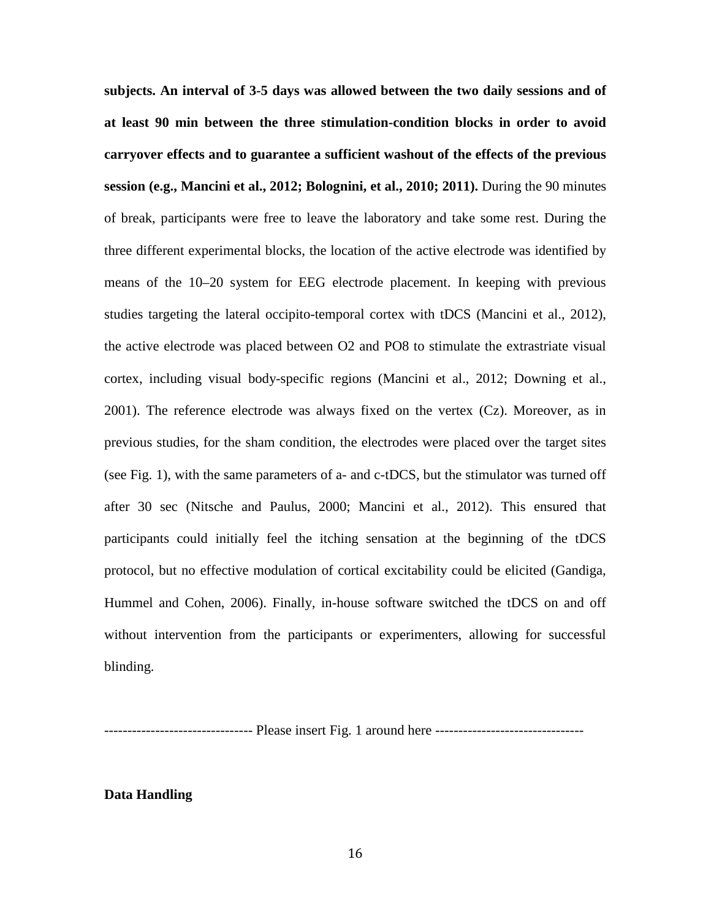**subjects. An interval of 3-5 days was allowed between the two daily sessions and of at least 90 min between the three stimulation-condition blocks in order to avoid carryover effects and to guarantee a sufficient washout of the effects of the previous session (e.g., Mancini et al., 2012; Bolognini, et al., 2010; 2011).** During the 90 minutes of break, participants were free to leave the laboratory and take some rest. During the three different experimental blocks, the location of the active electrode was identified by means of the 10–20 system for EEG electrode placement. In keeping with previous studies targeting the lateral occipito-temporal cortex with tDCS (Mancini et al., 2012), the active electrode was placed between O2 and PO8 to stimulate the extrastriate visual cortex, including visual body-specific regions (Mancini et al., 2012; Downing et al., 2001). The reference electrode was always fixed on the vertex (Cz). Moreover, as in previous studies, for the sham condition, the electrodes were placed over the target sites (see Fig. 1), with the same parameters of a- and c-tDCS, but the stimulator was turned off after 30 sec (Nitsche and Paulus, 2000; Mancini et al., 2012). This ensured that participants could initially feel the itching sensation at the beginning of the tDCS protocol, but no effective modulation of cortical excitability could be elicited (Gandiga, Hummel and Cohen, 2006). Finally, in-house software switched the tDCS on and off without intervention from the participants or experimenters, allowing for successful blinding.

-------------------------------- Please insert Fig. 1 around here --------------------------------

#### **Data Handling**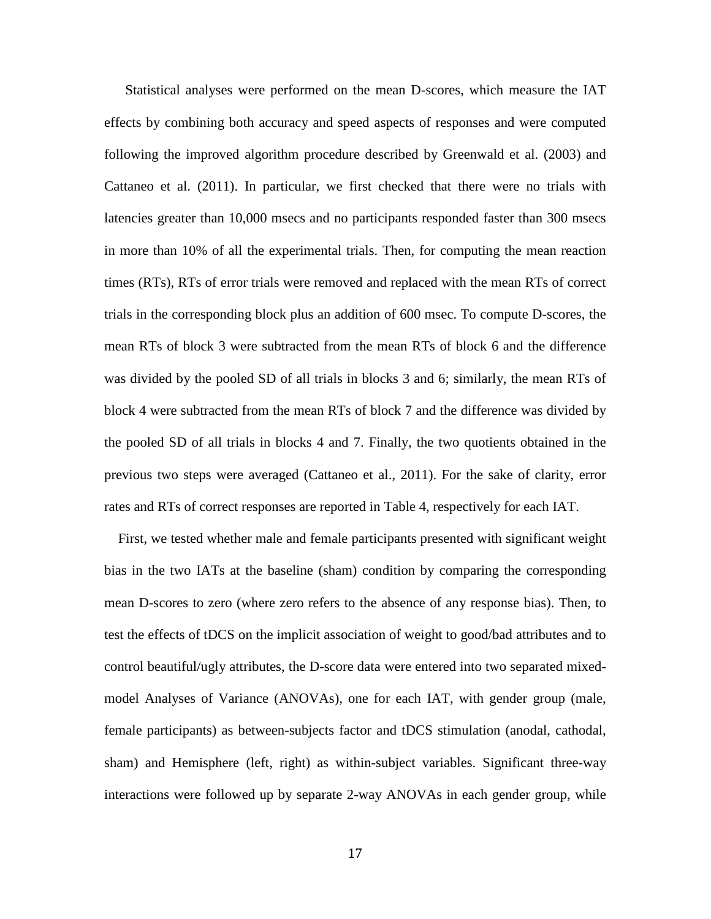Statistical analyses were performed on the mean D-scores, which measure the IAT effects by combining both accuracy and speed aspects of responses and were computed following the improved algorithm procedure described by Greenwald et al. (2003) and Cattaneo et al. (2011). In particular, we first checked that there were no trials with latencies greater than 10,000 msecs and no participants responded faster than 300 msecs in more than 10% of all the experimental trials. Then, for computing the mean reaction times (RTs), RTs of error trials were removed and replaced with the mean RTs of correct trials in the corresponding block plus an addition of 600 msec. To compute D-scores, the mean RTs of block 3 were subtracted from the mean RTs of block 6 and the difference was divided by the pooled SD of all trials in blocks 3 and 6; similarly, the mean RTs of block 4 were subtracted from the mean RTs of block 7 and the difference was divided by the pooled SD of all trials in blocks 4 and 7. Finally, the two quotients obtained in the previous two steps were averaged (Cattaneo et al., 2011). For the sake of clarity, error rates and RTs of correct responses are reported in Table 4, respectively for each IAT.

 First, we tested whether male and female participants presented with significant weight bias in the two IATs at the baseline (sham) condition by comparing the corresponding mean D-scores to zero (where zero refers to the absence of any response bias). Then, to test the effects of tDCS on the implicit association of weight to good/bad attributes and to control beautiful/ugly attributes, the D-score data were entered into two separated mixedmodel Analyses of Variance (ANOVAs), one for each IAT, with gender group (male, female participants) as between-subjects factor and tDCS stimulation (anodal, cathodal, sham) and Hemisphere (left, right) as within-subject variables. Significant three-way interactions were followed up by separate 2-way ANOVAs in each gender group, while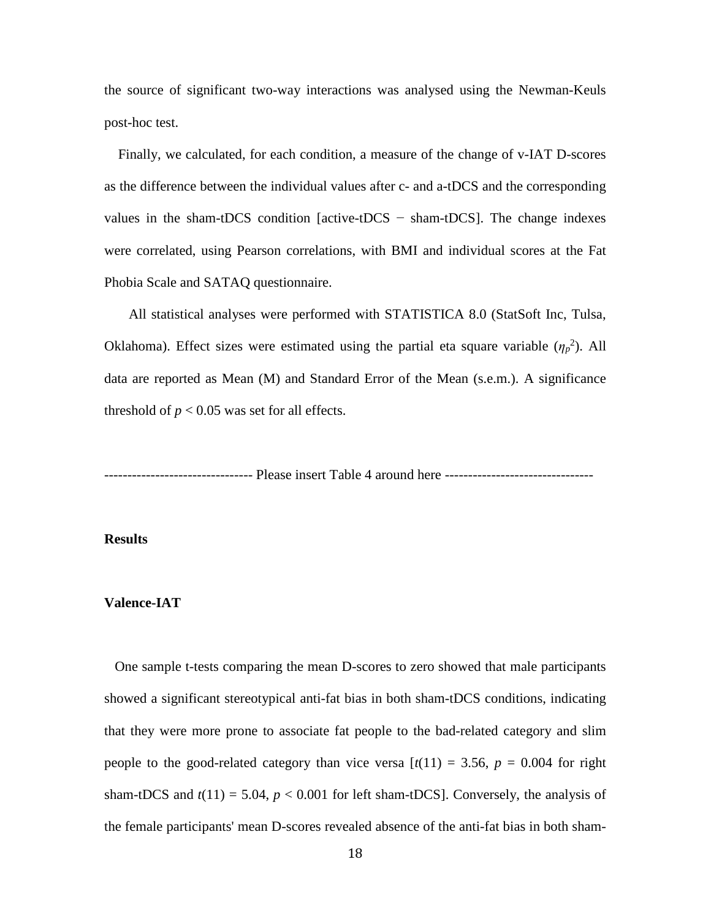the source of significant two-way interactions was analysed using the Newman-Keuls post-hoc test.

 Finally, we calculated, for each condition, a measure of the change of v-IAT D-scores as the difference between the individual values after c- and a-tDCS and the corresponding values in the sham-tDCS condition [active-tDCS − sham-tDCS]. The change indexes were correlated, using Pearson correlations, with BMI and individual scores at the Fat Phobia Scale and SATAQ questionnaire.

 All statistical analyses were performed with STATISTICA 8.0 (StatSoft Inc, Tulsa, Oklahoma). Effect sizes were estimated using the partial eta square variable  $(\eta_p^2)$ . All data are reported as Mean (M) and Standard Error of the Mean (s.e.m.). A significance threshold of  $p < 0.05$  was set for all effects.

-------------------------------- Please insert Table 4 around here --------------------------------

# **Results**

## **Valence-IAT**

 One sample t-tests comparing the mean D-scores to zero showed that male participants showed a significant stereotypical anti-fat bias in both sham-tDCS conditions, indicating that they were more prone to associate fat people to the bad-related category and slim people to the good-related category than vice versa  $[t(11) = 3.56, p = 0.004$  for right sham-tDCS and  $t(11) = 5.04$ ,  $p < 0.001$  for left sham-tDCS]. Conversely, the analysis of the female participants' mean D-scores revealed absence of the anti-fat bias in both sham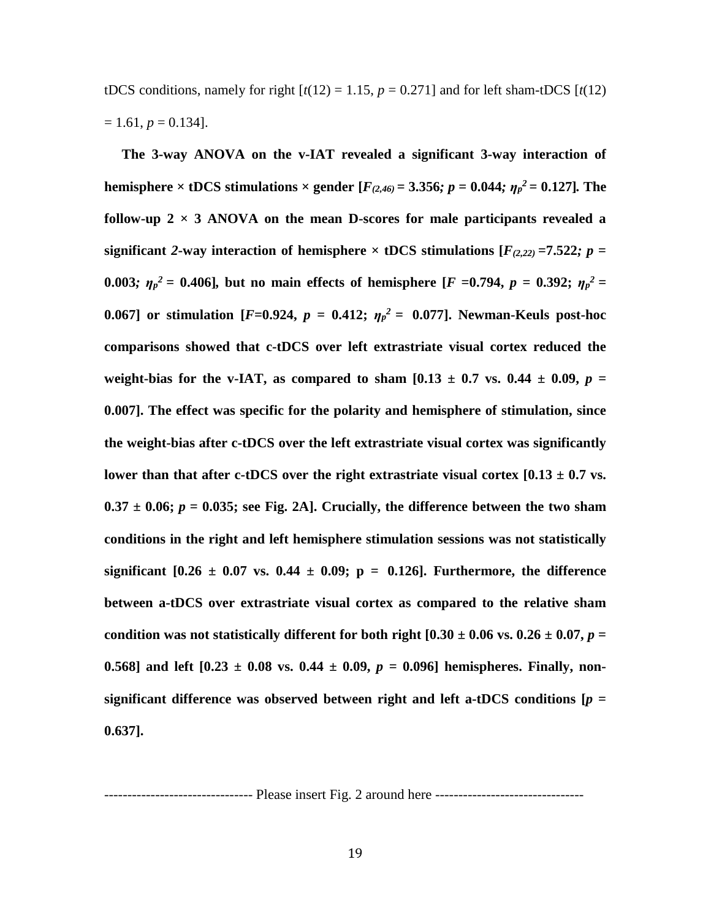tDCS conditions, namely for right  $[t(12) = 1.15, p = 0.271]$  and for left sham-tDCS  $[t(12)$  $= 1.61, p = 0.134$ .

 **The 3-way ANOVA on the v-IAT revealed a significant 3-way interaction of hemisphere**  $\times$  **tDCS** stimulations  $\times$  gender [ $F_{(2,46)} = 3.356$ ;  $p = 0.044$ ;  $\eta_p^2 = 0.127$ ]. The **follow-up 2**  $\times$  **3** ANOVA on the mean D-scores for male participants revealed a **significant 2-way interaction of hemisphere**  $\times$  **tDCS stimulations [** $F_{(2,22)} = 7.522$ *; p =* **0.003***;*  $\eta_p^2 = 0.406$ ], but no main effects of hemisphere [*F* =0.794, *p* = 0.392;  $\eta_p^2 =$ **0.067]** or stimulation [ $F=0.924$ ,  $p = 0.412$ ;  $\eta_p^2 = 0.077$ ]. Newman-Keuls post-hoc **comparisons showed that c-tDCS over left extrastriate visual cortex reduced the weight-bias for the v-IAT, as compared to sham**  $[0.13 \pm 0.7 \text{ vs. } 0.44 \pm 0.09, p =$ **0.007]. The effect was specific for the polarity and hemisphere of stimulation, since the weight-bias after c-tDCS over the left extrastriate visual cortex was significantly**  lower than that after c-tDCS over the right extrastriate visual cortex  $[0.13 \pm 0.7 \text{ vs.}]$  $0.37 \pm 0.06$ ;  $p = 0.035$ ; see Fig. 2A]. Crucially, the difference between the two sham **conditions in the right and left hemisphere stimulation sessions was not statistically significant**  $[0.26 \pm 0.07 \text{ vs. } 0.44 \pm 0.09; \text{ p} = 0.126]$ . Furthermore, the difference **between a-tDCS over extrastriate visual cortex as compared to the relative sham condition was not statistically different for both right**  $[0.30 \pm 0.06 \text{ vs. } 0.26 \pm 0.07, p =$ 0.568] and left  $[0.23 \pm 0.08 \text{ vs. } 0.44 \pm 0.09, p = 0.096]$  hemispheres. Finally, non**significant** difference was observed between right and left a-tDCS conditions  $[p =$ **0.637].**

-------------------------------- Please insert Fig. 2 around here --------------------------------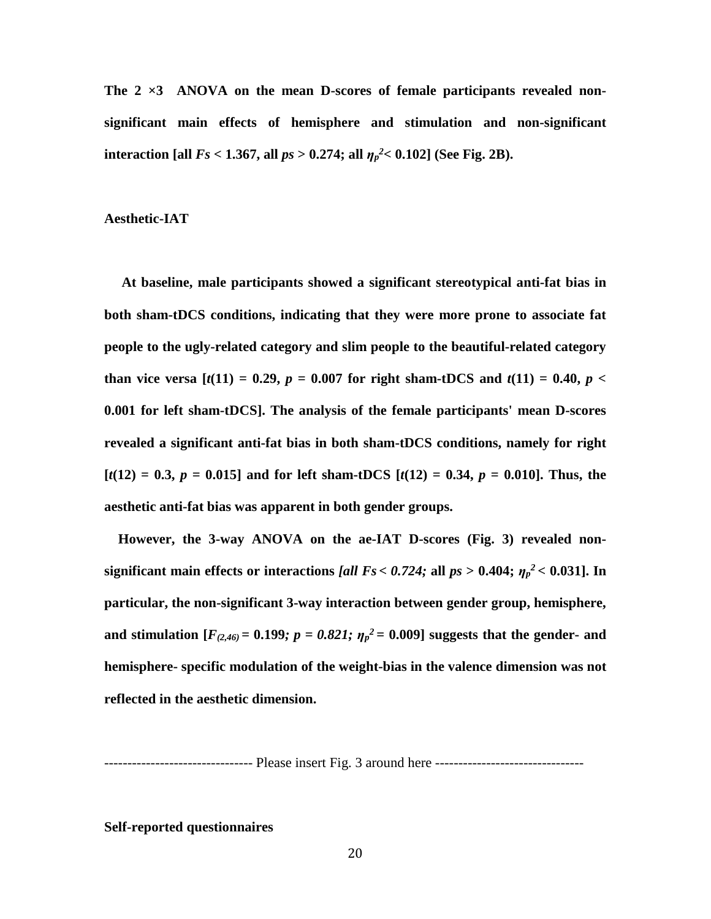**The 2 ×3 ANOVA on the mean D-scores of female participants revealed nonsignificant main effects of hemisphere and stimulation and non-significant interaction** [all  $Fs < 1.367$ , all  $ps > 0.274$ ; all  $\eta_p^2 < 0.102$ ] (See Fig. 2B).

#### **Aesthetic-IAT**

 **At baseline, male participants showed a significant stereotypical anti-fat bias in both sham-tDCS conditions, indicating that they were more prone to associate fat people to the ugly-related category and slim people to the beautiful-related category than vice versa**  $[t(11) = 0.29, p = 0.007$  for right sham-tDCS and  $t(11) = 0.40, p <$ **0.001 for left sham-tDCS]. The analysis of the female participants' mean D-scores revealed a significant anti-fat bias in both sham-tDCS conditions, namely for right**   $[t(12) = 0.3, p = 0.015]$  and for left sham-tDCS  $[t(12) = 0.34, p = 0.010]$ . Thus, the **aesthetic anti-fat bias was apparent in both gender groups.**

 **However, the 3-way ANOVA on the ae-IAT D-scores (Fig. 3) revealed nonsignificant main effects or interactions** [all Fs  $< 0.724$ ; all ps  $> 0.404$ ;  $\eta_p^2 < 0.031$ ]. In **particular, the non-significant 3-way interaction between gender group, hemisphere, and stimulation**  $[F_{(2,46)} = 0.199; p = 0.821; \eta_p^2 = 0.009]$  suggests that the gender- and **hemisphere- specific modulation of the weight-bias in the valence dimension was not reflected in the aesthetic dimension.**

-------------------------------- Please insert Fig. 3 around here --------------------------------

**Self-reported questionnaires**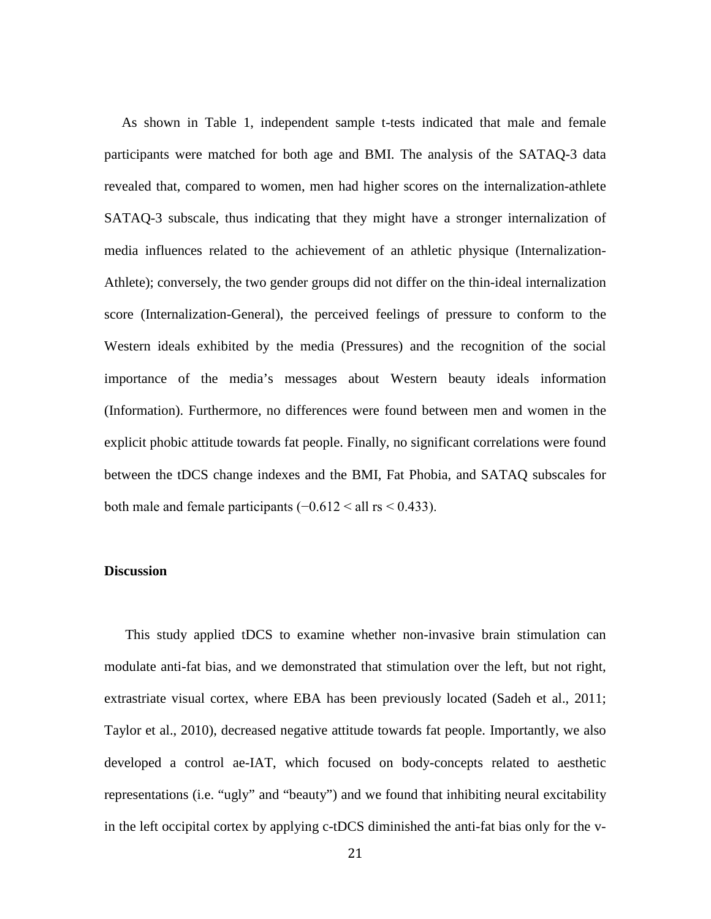As shown in Table 1, independent sample t-tests indicated that male and female participants were matched for both age and BMI. The analysis of the SATAQ-3 data revealed that, compared to women, men had higher scores on the internalization-athlete SATAQ-3 subscale, thus indicating that they might have a stronger internalization of media influences related to the achievement of an athletic physique (Internalization-Athlete); conversely, the two gender groups did not differ on the thin-ideal internalization score (Internalization-General), the perceived feelings of pressure to conform to the Western ideals exhibited by the media (Pressures) and the recognition of the social importance of the media's messages about Western beauty ideals information (Information). Furthermore, no differences were found between men and women in the explicit phobic attitude towards fat people. Finally, no significant correlations were found between the tDCS change indexes and the BMI, Fat Phobia, and SATAQ subscales for both male and female participants (−0.612 < all rs < 0.433).

# **Discussion**

 This study applied tDCS to examine whether non-invasive brain stimulation can modulate anti-fat bias, and we demonstrated that stimulation over the left, but not right, extrastriate visual cortex, where EBA has been previously located (Sadeh et al., 2011; Taylor et al., 2010), decreased negative attitude towards fat people. Importantly, we also developed a control ae-IAT, which focused on body-concepts related to aesthetic representations (i.e. "ugly" and "beauty") and we found that inhibiting neural excitability in the left occipital cortex by applying c-tDCS diminished the anti-fat bias only for the v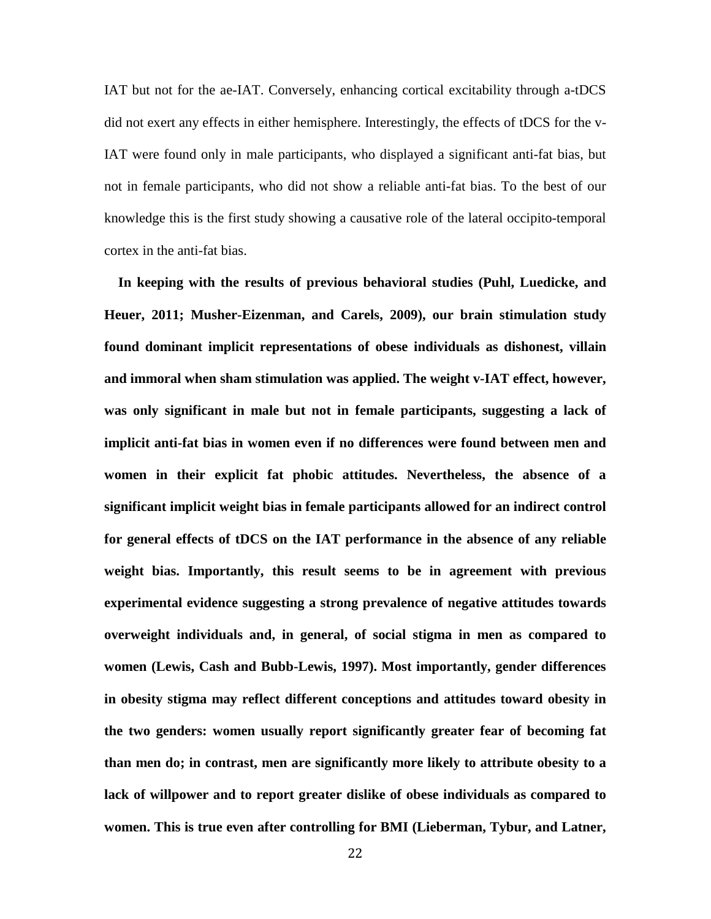IAT but not for the ae-IAT. Conversely, enhancing cortical excitability through a-tDCS did not exert any effects in either hemisphere. Interestingly, the effects of tDCS for the v-IAT were found only in male participants, who displayed a significant anti-fat bias, but not in female participants, who did not show a reliable anti-fat bias. To the best of our knowledge this is the first study showing a causative role of the lateral occipito-temporal cortex in the anti-fat bias.

 **In keeping with the results of previous behavioral studies (Puhl, Luedicke, and Heuer, 2011; Musher-Eizenman, and Carels, 2009), our brain stimulation study found dominant implicit representations of obese individuals as dishonest, villain and immoral when sham stimulation was applied. The weight v-IAT effect, however, was only significant in male but not in female participants, suggesting a lack of implicit anti-fat bias in women even if no differences were found between men and women in their explicit fat phobic attitudes. Nevertheless, the absence of a significant implicit weight bias in female participants allowed for an indirect control for general effects of tDCS on the IAT performance in the absence of any reliable weight bias. Importantly, this result seems to be in agreement with previous experimental evidence suggesting a strong prevalence of negative attitudes towards overweight individuals and, in general, of social stigma in men as compared to women (Lewis, Cash and Bubb-Lewis, 1997). Most importantly, gender differences in obesity stigma may reflect different conceptions and attitudes toward obesity in the two genders: women usually report significantly greater fear of becoming fat than men do; in contrast, men are significantly more likely to attribute obesity to a lack of willpower and to report greater dislike of obese individuals as compared to women. This is true even after controlling for BMI (Lieberman, Tybur, and Latner,**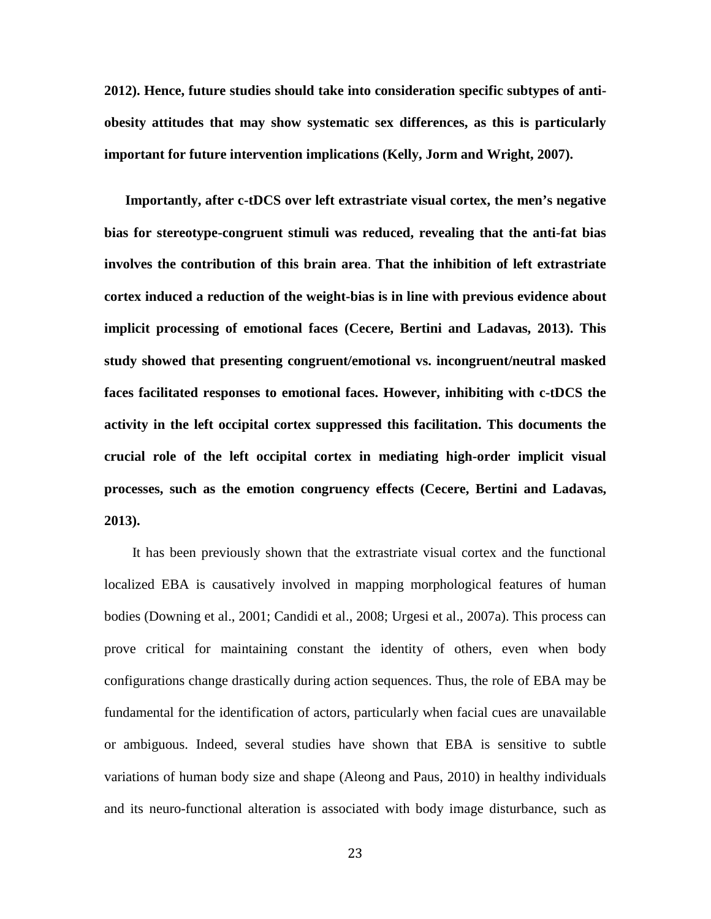**2012). Hence, future studies should take into consideration specific subtypes of antiobesity attitudes that may show systematic sex differences, as this is particularly important for future intervention implications (Kelly, Jorm and Wright, 2007).**

 **Importantly, after c-tDCS over left extrastriate visual cortex, the men's negative bias for stereotype-congruent stimuli was reduced, revealing that the anti-fat bias involves the contribution of this brain area**. **That the inhibition of left extrastriate cortex induced a reduction of the weight-bias is in line with previous evidence about implicit processing of emotional faces (Cecere, Bertini and Ladavas, 2013). This study showed that presenting congruent/emotional vs. incongruent/neutral masked faces facilitated responses to emotional faces. However, inhibiting with c-tDCS the activity in the left occipital cortex suppressed this facilitation. This documents the crucial role of the left occipital cortex in mediating high-order implicit visual processes, such as the emotion congruency effects (Cecere, Bertini and Ladavas, 2013).**

 It has been previously shown that the extrastriate visual cortex and the functional localized EBA is causatively involved in mapping morphological features of human bodies (Downing et al., 2001; Candidi et al., 2008; Urgesi et al., 2007a). This process can prove critical for maintaining constant the identity of others, even when body configurations change drastically during action sequences. Thus, the role of EBA may be fundamental for the identification of actors, particularly when facial cues are unavailable or ambiguous. Indeed, several studies have shown that EBA is sensitive to subtle variations of human body size and shape (Aleong and Paus, 2010) in healthy individuals and its neuro-functional alteration is associated with body image disturbance, such as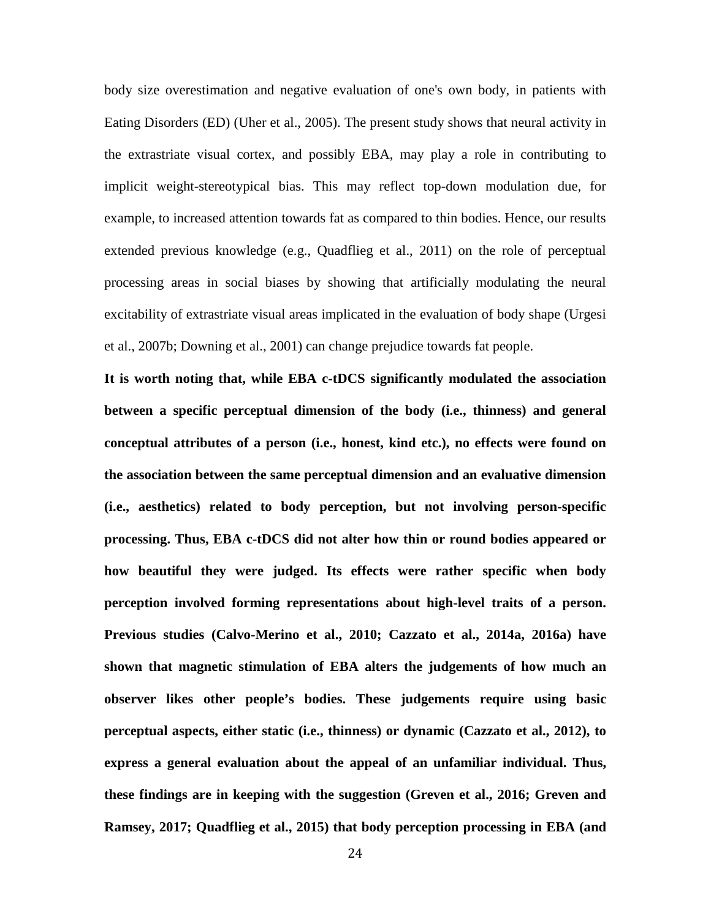body size overestimation and negative evaluation of one's own body, in patients with Eating Disorders (ED) (Uher et al., 2005). The present study shows that neural activity in the extrastriate visual cortex, and possibly EBA, may play a role in contributing to implicit weight-stereotypical bias. This may reflect top-down modulation due, for example, to increased attention towards fat as compared to thin bodies. Hence, our results extended previous knowledge (e.g., Quadflieg et al., 2011) on the role of perceptual processing areas in social biases by showing that artificially modulating the neural excitability of extrastriate visual areas implicated in the evaluation of body shape (Urgesi et al., 2007b; Downing et al., 2001) can change prejudice towards fat people.

**It is worth noting that, while EBA c-tDCS significantly modulated the association between a specific perceptual dimension of the body (i.e., thinness) and general conceptual attributes of a person (i.e., honest, kind etc.), no effects were found on the association between the same perceptual dimension and an evaluative dimension (i.e., aesthetics) related to body perception, but not involving person-specific processing. Thus, EBA c-tDCS did not alter how thin or round bodies appeared or how beautiful they were judged. Its effects were rather specific when body perception involved forming representations about high-level traits of a person. Previous studies (Calvo-Merino et al., 2010; Cazzato et al., 2014a, 2016a) have shown that magnetic stimulation of EBA alters the judgements of how much an observer likes other people's bodies. These judgements require using basic perceptual aspects, either static (i.e., thinness) or dynamic (Cazzato et al., 2012), to express a general evaluation about the appeal of an unfamiliar individual. Thus, these findings are in keeping with the suggestion (Greven et al., 2016; Greven and Ramsey, 2017; Quadflieg et al., 2015) that body perception processing in EBA (and**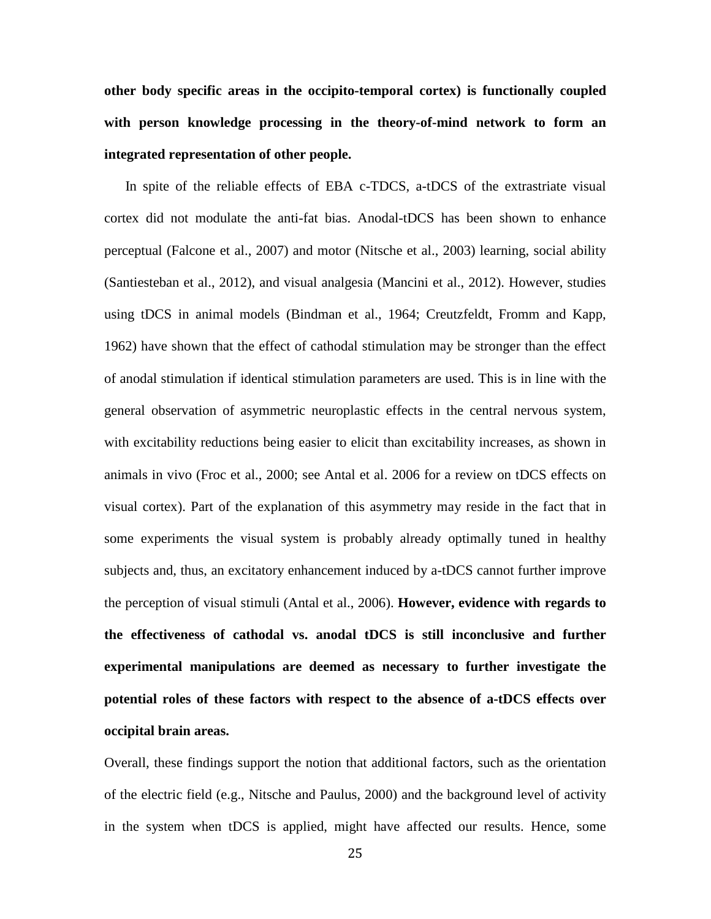**other body specific areas in the occipito-temporal cortex) is functionally coupled with person knowledge processing in the theory-of-mind network to form an integrated representation of other people.**

 In spite of the reliable effects of EBA c-TDCS, a-tDCS of the extrastriate visual cortex did not modulate the anti-fat bias. Anodal-tDCS has been shown to enhance perceptual (Falcone et al., 2007) and motor (Nitsche et al., 2003) learning, social ability (Santiesteban et al., 2012), and visual analgesia (Mancini et al., 2012). However, studies using tDCS in animal models (Bindman et al., 1964; Creutzfeldt, Fromm and Kapp, 1962) have shown that the effect of cathodal stimulation may be stronger than the effect of anodal stimulation if identical stimulation parameters are used. This is in line with the general observation of asymmetric neuroplastic effects in the central nervous system, with excitability reductions being easier to elicit than excitability increases, as shown in animals in vivo (Froc et al., 2000; see Antal et al. 2006 for a review on tDCS effects on visual cortex). Part of the explanation of this asymmetry may reside in the fact that in some experiments the visual system is probably already optimally tuned in healthy subjects and, thus, an excitatory enhancement induced by a-tDCS cannot further improve the perception of visual stimuli (Antal et al., 2006). **However, evidence with regards to the effectiveness of cathodal vs. anodal tDCS is still inconclusive and further experimental manipulations are deemed as necessary to further investigate the potential roles of these factors with respect to the absence of a-tDCS effects over occipital brain areas.**

Overall, these findings support the notion that additional factors, such as the orientation of the electric field (e.g., Nitsche and Paulus, 2000) and the background level of activity in the system when tDCS is applied, might have affected our results. Hence, some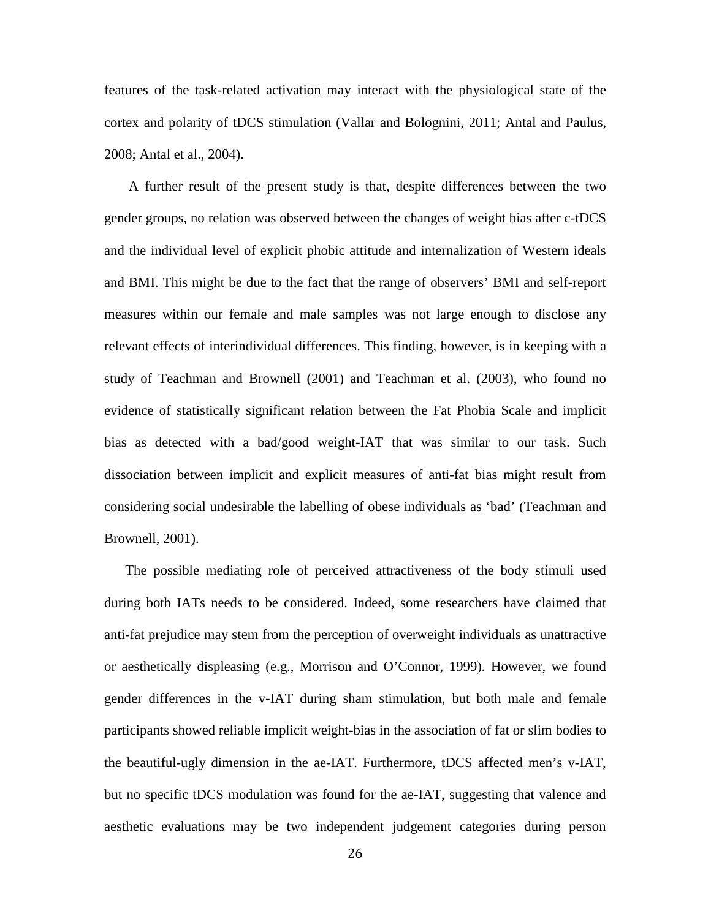features of the task-related activation may interact with the physiological state of the cortex and polarity of tDCS stimulation (Vallar and Bolognini, 2011; Antal and Paulus, 2008; Antal et al., 2004).

 A further result of the present study is that, despite differences between the two gender groups, no relation was observed between the changes of weight bias after c-tDCS and the individual level of explicit phobic attitude and internalization of Western ideals and BMI. This might be due to the fact that the range of observers' BMI and self-report measures within our female and male samples was not large enough to disclose any relevant effects of interindividual differences. This finding, however, is in keeping with a study of Teachman and Brownell (2001) and Teachman et al. (2003), who found no evidence of statistically significant relation between the Fat Phobia Scale and implicit bias as detected with a bad/good weight-IAT that was similar to our task. Such dissociation between implicit and explicit measures of anti-fat bias might result from considering social undesirable the labelling of obese individuals as 'bad' (Teachman and Brownell, 2001).

 The possible mediating role of perceived attractiveness of the body stimuli used during both IATs needs to be considered. Indeed, some researchers have claimed that anti-fat prejudice may stem from the perception of overweight individuals as unattractive or aesthetically displeasing (e.g., Morrison and O'Connor, 1999). However, we found gender differences in the v-IAT during sham stimulation, but both male and female participants showed reliable implicit weight-bias in the association of fat or slim bodies to the beautiful-ugly dimension in the ae-IAT. Furthermore, tDCS affected men's v-IAT, but no specific tDCS modulation was found for the ae-IAT, suggesting that valence and aesthetic evaluations may be two independent judgement categories during person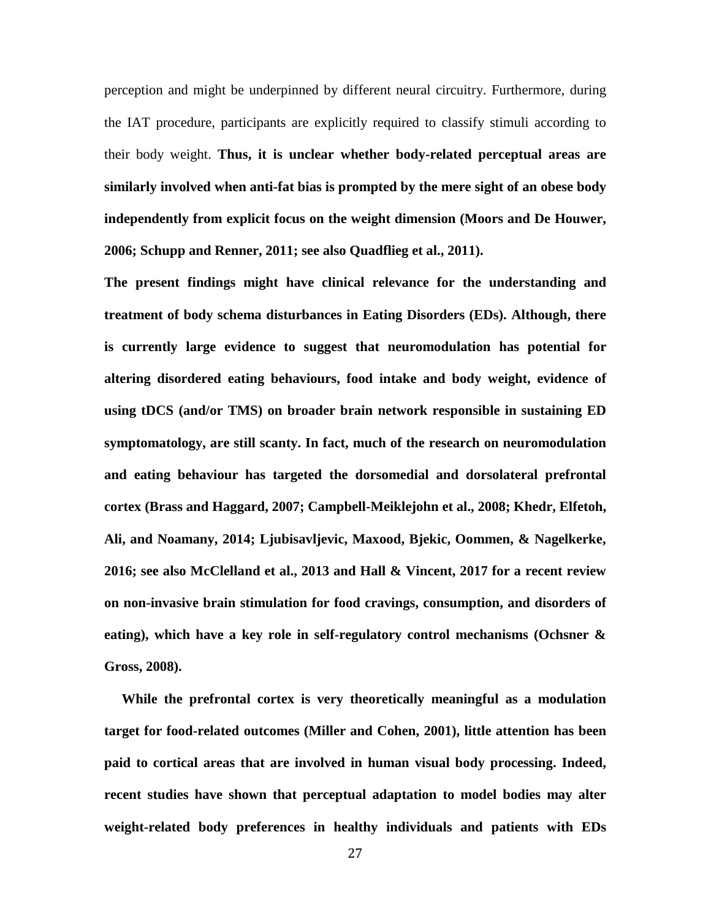perception and might be underpinned by different neural circuitry. Furthermore, during the IAT procedure, participants are explicitly required to classify stimuli according to their body weight. **Thus, it is unclear whether body-related perceptual areas are similarly involved when anti-fat bias is prompted by the mere sight of an obese body independently from explicit focus on the weight dimension (Moors and De Houwer, 2006; Schupp and Renner, 2011; see also Quadflieg et al., 2011).**

**The present findings might have clinical relevance for the understanding and treatment of body schema disturbances in Eating Disorders (EDs). Although, there is currently large evidence to suggest that neuromodulation has potential for altering disordered eating behaviours, food intake and body weight, evidence of using tDCS (and/or TMS) on broader brain network responsible in sustaining ED symptomatology, are still scanty. In fact, much of the research on neuromodulation and eating behaviour has targeted the dorsomedial and dorsolateral prefrontal cortex (Brass and Haggard, 2007; Campbell-Meiklejohn et al., 2008; Khedr, Elfetoh, Ali, and Noamany, 2014; Ljubisavljevic, Maxood, Bjekic, Oommen, & Nagelkerke, 2016; see also McClelland et al., 2013 and Hall & Vincent, 2017 for a recent review on non-invasive brain stimulation for food cravings, consumption, and disorders of eating), which have a key role in self-regulatory control mechanisms (Ochsner & Gross, 2008).** 

 **While the prefrontal cortex is very theoretically meaningful as a modulation target for food-related outcomes (Miller and Cohen, 2001), little attention has been paid to cortical areas that are involved in human visual body processing. Indeed, recent studies have shown that perceptual adaptation to model bodies may alter weight-related body preferences in healthy individuals and patients with EDs**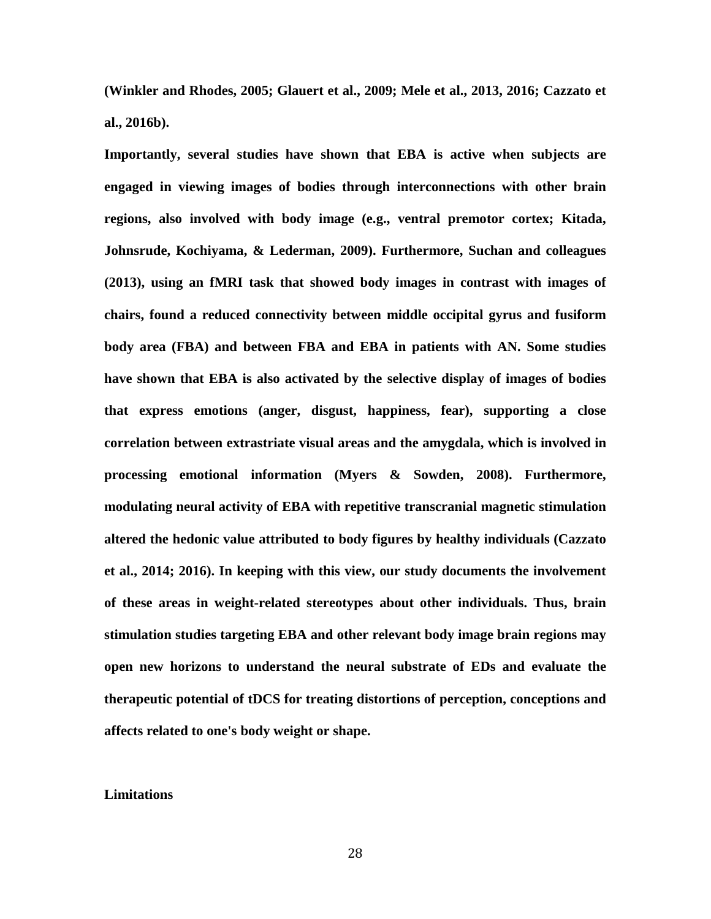**(Winkler and Rhodes, 2005; Glauert et al., 2009; Mele et al., 2013, 2016; Cazzato et al., 2016b).** 

**Importantly, several studies have shown that EBA is active when subjects are engaged in viewing images of bodies through interconnections with other brain regions, also involved with body image (e.g., ventral premotor cortex; Kitada, Johnsrude, Kochiyama, & Lederman, 2009). Furthermore, Suchan and colleagues (2013), using an fMRI task that showed body images in contrast with images of chairs, found a reduced connectivity between middle occipital gyrus and fusiform body area (FBA) and between FBA and EBA in patients with AN. Some studies have shown that EBA is also activated by the selective display of images of bodies that express emotions (anger, disgust, happiness, fear), supporting a close correlation between extrastriate visual areas and the amygdala, which is involved in processing emotional information (Myers & Sowden, 2008). Furthermore, modulating neural activity of EBA with repetitive transcranial magnetic stimulation altered the hedonic value attributed to body figures by healthy individuals (Cazzato et al., 2014; 2016). In keeping with this view, our study documents the involvement of these areas in weight-related stereotypes about other individuals. Thus, brain stimulation studies targeting EBA and other relevant body image brain regions may open new horizons to understand the neural substrate of EDs and evaluate the therapeutic potential of tDCS for treating distortions of perception, conceptions and affects related to one's body weight or shape.**

## **Limitations**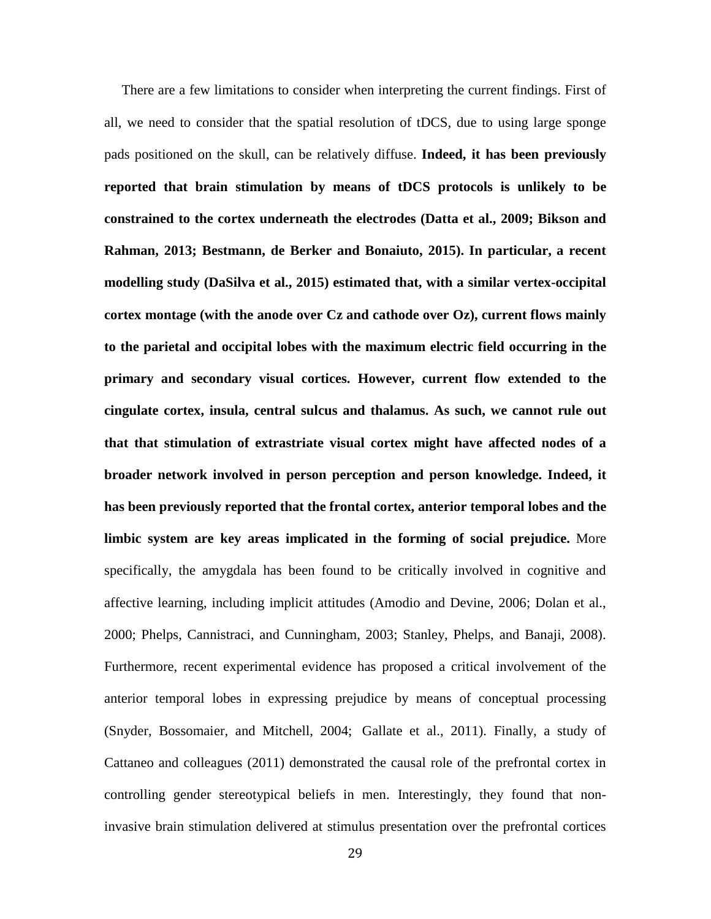There are a few limitations to consider when interpreting the current findings. First of all, we need to consider that the spatial resolution of tDCS, due to using large sponge pads positioned on the skull, can be relatively diffuse. **Indeed, it has been previously reported that brain stimulation by means of tDCS protocols is unlikely to be constrained to the cortex underneath the electrodes (Datta et al., 2009; Bikson and Rahman, 2013; Bestmann, de Berker and Bonaiuto, 2015). In particular, a recent modelling study (DaSilva et al., 2015) estimated that, with a similar vertex-occipital cortex montage (with the anode over Cz and cathode over Oz), current flows mainly to the parietal and occipital lobes with the maximum electric field occurring in the primary and secondary visual cortices. However, current flow extended to the cingulate cortex, insula, central sulcus and thalamus. As such, we cannot rule out that that stimulation of extrastriate visual cortex might have affected nodes of a broader network involved in person perception and person knowledge. Indeed, it has been previously reported that the frontal cortex, anterior temporal lobes and the limbic system are key areas implicated in the forming of social prejudice.** More specifically, the amygdala has been found to be critically involved in cognitive and affective learning, including implicit attitudes (Amodio and Devine, 2006; Dolan et al., 2000; Phelps, Cannistraci, and Cunningham, 2003; Stanley, Phelps, and Banaji, 2008). Furthermore, recent experimental evidence has proposed a critical involvement of the anterior temporal lobes in expressing prejudice by means of conceptual processing (Snyder, Bossomaier, and Mitchell, 2004; Gallate et al., 2011). Finally, a study of Cattaneo and colleagues (2011) demonstrated the causal role of the prefrontal cortex in controlling gender stereotypical beliefs in men. Interestingly, they found that noninvasive brain stimulation delivered at stimulus presentation over the prefrontal cortices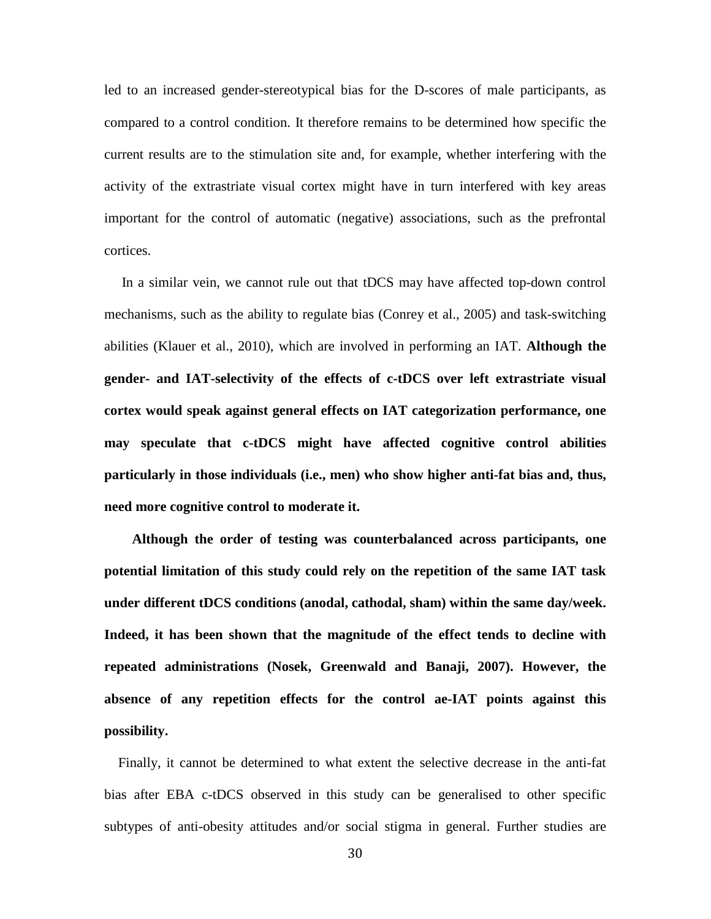led to an increased gender-stereotypical bias for the D-scores of male participants, as compared to a control condition. It therefore remains to be determined how specific the current results are to the stimulation site and, for example, whether interfering with the activity of the extrastriate visual cortex might have in turn interfered with key areas important for the control of automatic (negative) associations, such as the prefrontal cortices.

 In a similar vein, we cannot rule out that tDCS may have affected top-down control mechanisms, such as the ability to regulate bias (Conrey et al., 2005) and task-switching abilities (Klauer et al., 2010), which are involved in performing an IAT. **Although the gender- and IAT-selectivity of the effects of c-tDCS over left extrastriate visual cortex would speak against general effects on IAT categorization performance, one may speculate that c-tDCS might have affected cognitive control abilities particularly in those individuals (i.e., men) who show higher anti-fat bias and, thus, need more cognitive control to moderate it.**

 **Although the order of testing was counterbalanced across participants, one potential limitation of this study could rely on the repetition of the same IAT task under different tDCS conditions (anodal, cathodal, sham) within the same day/week. Indeed, it has been shown that the magnitude of the effect tends to decline with repeated administrations (Nosek, Greenwald and Banaji, 2007). However, the absence of any repetition effects for the control ae-IAT points against this possibility.**

 Finally, it cannot be determined to what extent the selective decrease in the anti-fat bias after EBA c-tDCS observed in this study can be generalised to other specific subtypes of anti-obesity attitudes and/or social stigma in general. Further studies are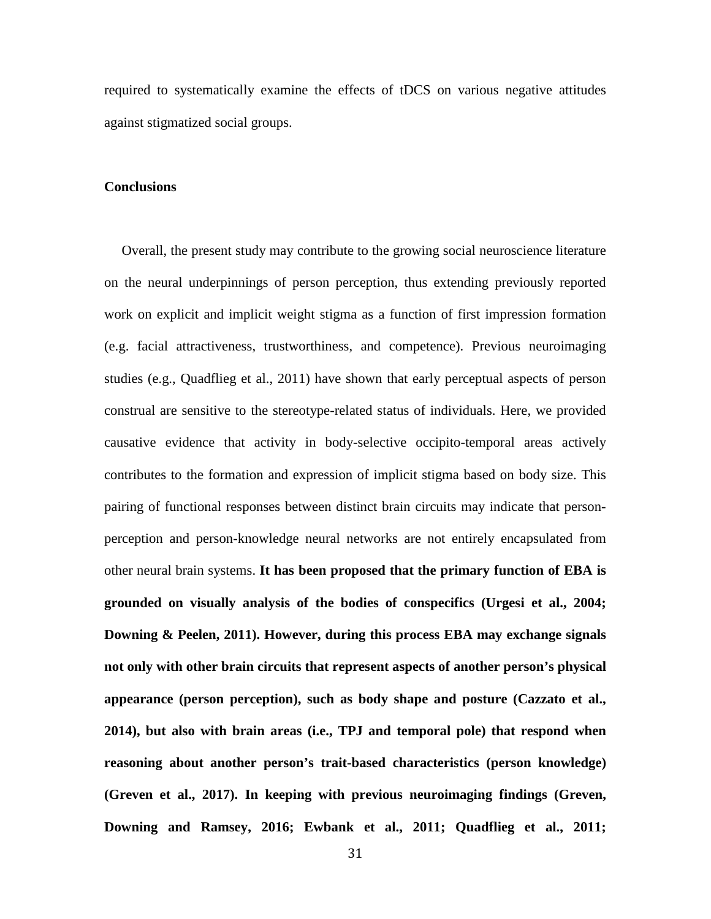required to systematically examine the effects of tDCS on various negative attitudes against stigmatized social groups.

#### **Conclusions**

 Overall, the present study may contribute to the growing social neuroscience literature on the neural underpinnings of person perception, thus extending previously reported work on explicit and implicit weight stigma as a function of first impression formation (e.g. facial attractiveness, trustworthiness, and competence). Previous neuroimaging studies (e.g., Quadflieg et al., 2011) have shown that early perceptual aspects of person construal are sensitive to the stereotype-related status of individuals. Here, we provided causative evidence that activity in body-selective occipito-temporal areas actively contributes to the formation and expression of implicit stigma based on body size. This pairing of functional responses between distinct brain circuits may indicate that personperception and person-knowledge neural networks are not entirely encapsulated from other neural brain systems. **It has been proposed that the primary function of EBA is grounded on visually analysis of the bodies of conspecifics (Urgesi et al., 2004; Downing & Peelen, 2011). However, during this process EBA may exchange signals not only with other brain circuits that represent aspects of another person's physical appearance (person perception), such as body shape and posture (Cazzato et al., 2014), but also with brain areas (i.e., TPJ and temporal pole) that respond when reasoning about another person's trait-based characteristics (person knowledge) (Greven et al., 2017). In keeping with previous neuroimaging findings (Greven, Downing and Ramsey, 2016; Ewbank et al., 2011; Quadflieg et al., 2011;**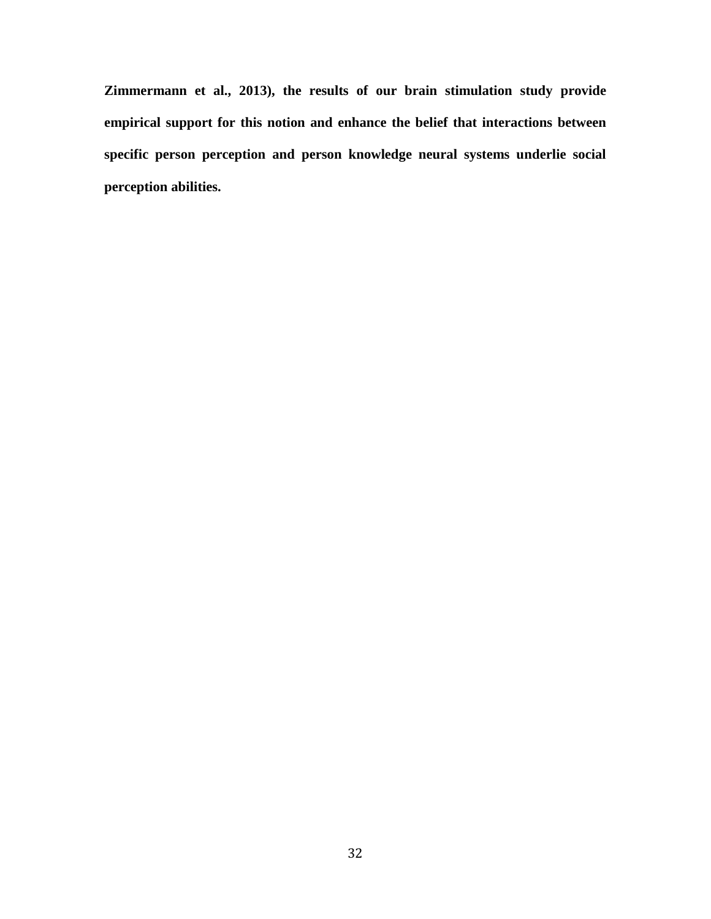**Zimmermann et al., 2013), the results of our brain stimulation study provide empirical support for this notion and enhance the belief that interactions between specific person perception and person knowledge neural systems underlie social perception abilities.**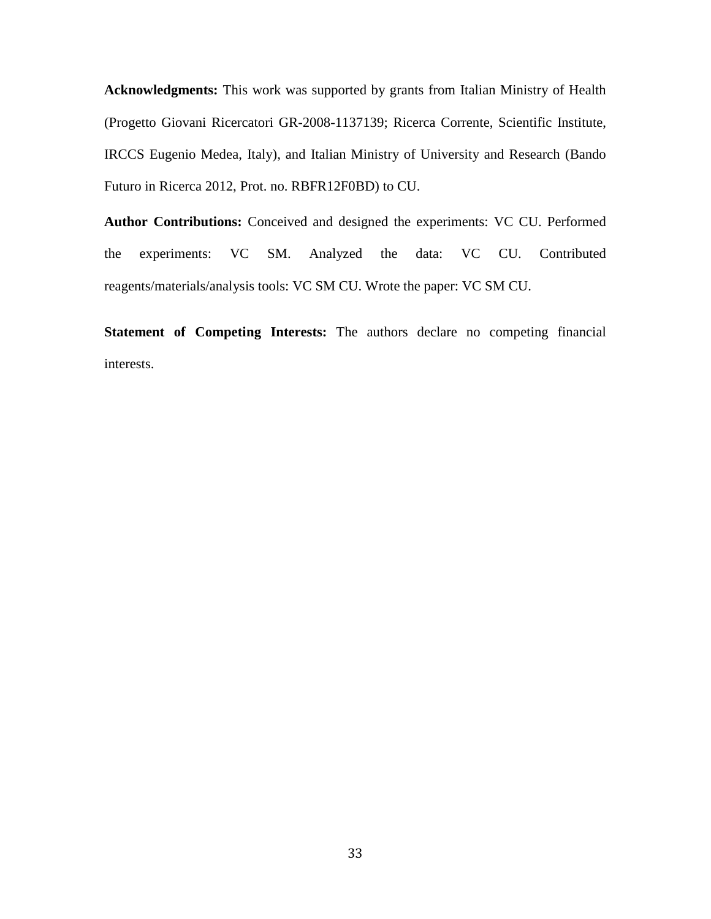**Acknowledgments:** This work was supported by grants from Italian Ministry of Health (Progetto Giovani Ricercatori GR-2008-1137139; Ricerca Corrente, Scientific Institute, IRCCS Eugenio Medea, Italy), and Italian Ministry of University and Research (Bando Futuro in Ricerca 2012, Prot. no. RBFR12F0BD) to CU.

**Author Contributions:** Conceived and designed the experiments: VC CU. Performed the experiments: VC SM. Analyzed the data: VC CU. Contributed reagents/materials/analysis tools: VC SM CU. Wrote the paper: VC SM CU.

**Statement of Competing Interests:** The authors declare no competing financial interests.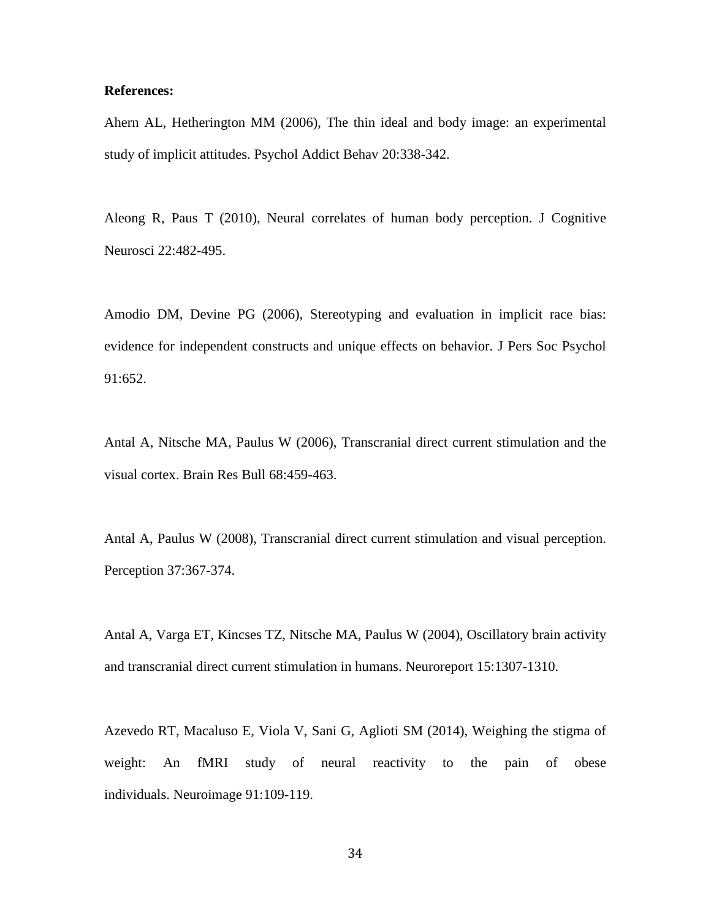## **References:**

Ahern AL, Hetherington MM (2006), The thin ideal and body image: an experimental study of implicit attitudes. Psychol Addict Behav 20:338-342.

Aleong R, Paus T (2010), Neural correlates of human body perception. J Cognitive Neurosci 22:482-495.

Amodio DM, Devine PG (2006), Stereotyping and evaluation in implicit race bias: evidence for independent constructs and unique effects on behavior. J Pers Soc Psychol 91:652.

Antal A, Nitsche MA, Paulus W (2006), Transcranial direct current stimulation and the visual cortex. Brain Res Bull 68:459-463.

Antal A, Paulus W (2008), Transcranial direct current stimulation and visual perception. Perception 37:367-374.

Antal A, Varga ET, Kincses TZ, Nitsche MA, Paulus W (2004), Oscillatory brain activity and transcranial direct current stimulation in humans. Neuroreport 15:1307-1310.

Azevedo RT, Macaluso E, Viola V, Sani G, Aglioti SM (2014), Weighing the stigma of weight: An fMRI study of neural reactivity to the pain of obese individuals. Neuroimage 91:109-119.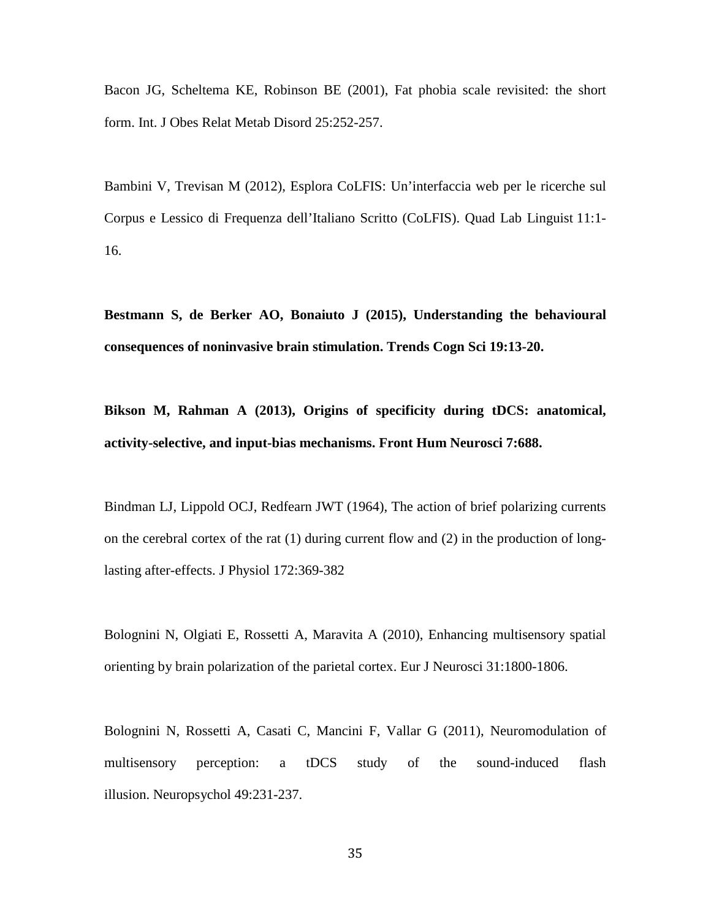Bacon JG, Scheltema KE, Robinson BE (2001), Fat phobia scale revisited: the short form. Int. J Obes Relat Metab Disord 25:252-257.

Bambini V, Trevisan M (2012), Esplora CoLFIS: Un'interfaccia web per le ricerche sul Corpus e Lessico di Frequenza dell'Italiano Scritto (CoLFIS). Quad Lab Linguist 11:1- 16.

**Bestmann S, de Berker AO, Bonaiuto J (2015), Understanding the behavioural consequences of noninvasive brain stimulation. Trends Cogn Sci 19:13-20.** 

**Bikson M, Rahman A (2013), Origins of specificity during tDCS: anatomical, activity-selective, and input-bias mechanisms. Front Hum Neurosci 7:688.**

Bindman LJ, Lippold OCJ, Redfearn JWT (1964), The action of brief polarizing currents on the cerebral cortex of the rat  $(1)$  during current flow and  $(2)$  in the production of longlasting after-effects. J Physiol 172:369-382

Bolognini N, Olgiati E, Rossetti A, Maravita A (2010), Enhancing multisensory spatial orienting by brain polarization of the parietal cortex. Eur J Neurosci 31:1800-1806.

Bolognini N, Rossetti A, Casati C, Mancini F, Vallar G (2011), Neuromodulation of multisensory perception: a tDCS study of the sound-induced flash illusion. Neuropsychol 49:231-237.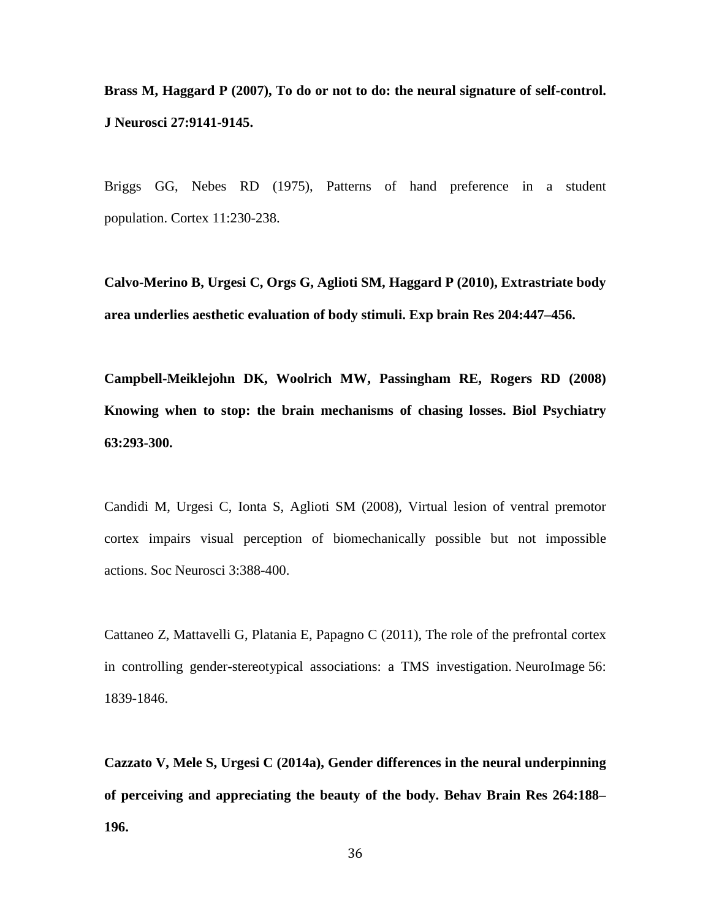**Brass M, Haggard P (2007), To do or not to do: the neural signature of self-control. J Neurosci 27:9141-9145.**

Briggs GG, Nebes RD (1975), Patterns of hand preference in a student population. Cortex 11:230-238.

**Calvo-Merino B, Urgesi C, Orgs G, Aglioti SM, Haggard P (2010), Extrastriate body area underlies aesthetic evaluation of body stimuli. Exp brain Res 204:447–456.**

**Campbell-Meiklejohn DK, Woolrich MW, Passingham RE, Rogers RD (2008) Knowing when to stop: the brain mechanisms of chasing losses. Biol Psychiatry 63:293-300.** 

Candidi M, Urgesi C, Ionta S, Aglioti SM (2008), Virtual lesion of ventral premotor cortex impairs visual perception of biomechanically possible but not impossible actions. Soc Neurosci 3:388-400.

Cattaneo Z, Mattavelli G, Platania E, Papagno C (2011), The role of the prefrontal cortex in controlling gender-stereotypical associations: a TMS investigation. NeuroImage 56: 1839-1846.

**Cazzato V, Mele S, Urgesi C (2014a), Gender differences in the neural underpinning of perceiving and appreciating the beauty of the body. Behav Brain Res 264:188– 196.**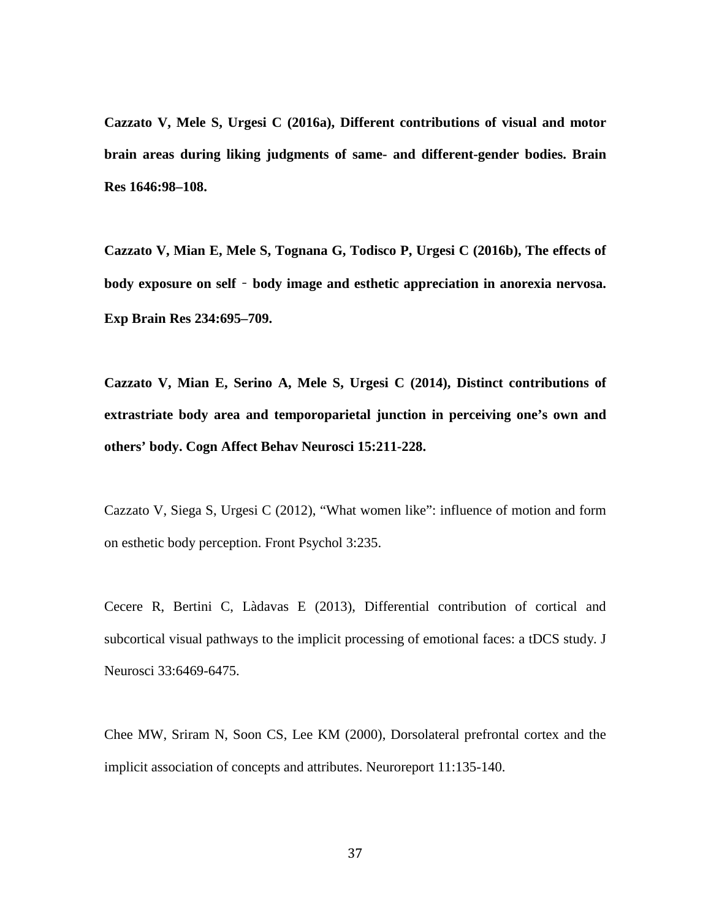**Cazzato V, Mele S, Urgesi C (2016a), Different contributions of visual and motor brain areas during liking judgments of same- and different-gender bodies. Brain Res 1646:98–108.**

**Cazzato V, Mian E, Mele S, Tognana G, Todisco P, Urgesi C (2016b), The effects of body exposure on self** ‑ **body image and esthetic appreciation in anorexia nervosa. Exp Brain Res 234:695–709.**

**Cazzato V, Mian E, Serino A, Mele S, Urgesi C (2014), Distinct contributions of extrastriate body area and temporoparietal junction in perceiving one's own and others' body. Cogn Affect Behav Neurosci 15:211-228.**

Cazzato V, Siega S, Urgesi C (2012), "What women like": influence of motion and form on esthetic body perception. Front Psychol 3:235.

Cecere R, Bertini C, Làdavas E (2013), Differential contribution of cortical and subcortical visual pathways to the implicit processing of emotional faces: a tDCS study. J Neurosci 33:6469-6475.

Chee MW, Sriram N, Soon CS, Lee KM (2000), Dorsolateral prefrontal cortex and the implicit association of concepts and attributes. Neuroreport 11:135-140.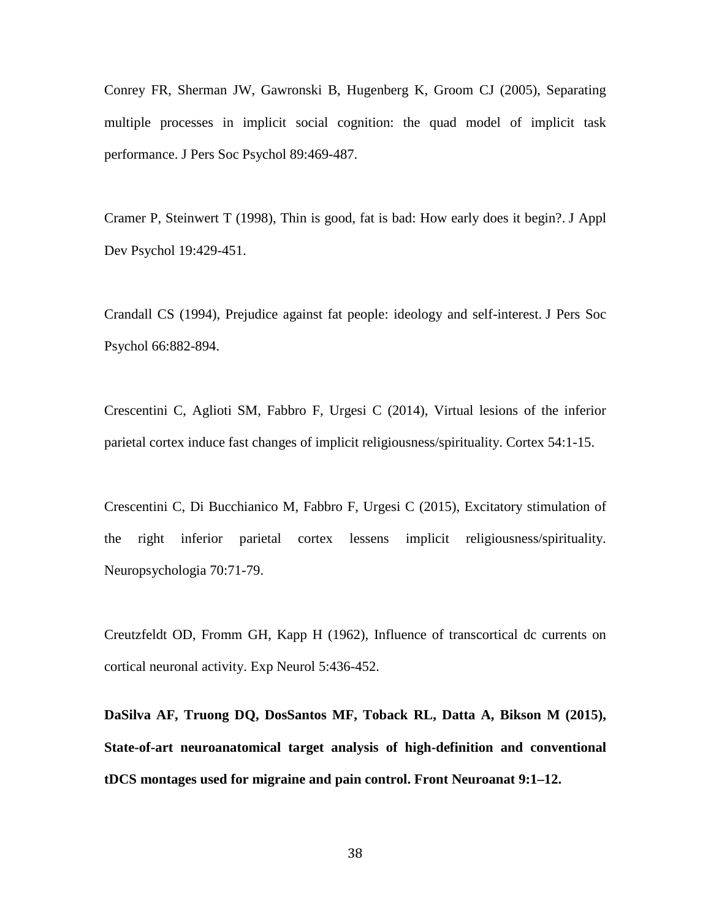Conrey FR, Sherman JW, Gawronski B, Hugenberg K, Groom CJ (2005), Separating multiple processes in implicit social cognition: the quad model of implicit task performance. J Pers Soc Psychol 89:469-487.

Cramer P, Steinwert T (1998), Thin is good, fat is bad: How early does it begin?. J Appl Dev Psychol 19:429-451.

Crandall CS (1994), Prejudice against fat people: ideology and self-interest. J Pers Soc Psychol 66:882-894.

Crescentini C, Aglioti SM, Fabbro F, Urgesi C (2014), Virtual lesions of the inferior parietal cortex induce fast changes of implicit religiousness/spirituality. Cortex 54:1-15.

Crescentini C, Di Bucchianico M, Fabbro F, Urgesi C (2015), Excitatory stimulation of the right inferior parietal cortex lessens implicit religiousness/spirituality. Neuropsychologia 70:71-79.

Creutzfeldt OD, Fromm GH, Kapp H (1962), Influence of transcortical dc currents on cortical neuronal activity. Exp Neurol 5:436-452.

**DaSilva AF, Truong DQ, DosSantos MF, Toback RL, Datta A, Bikson M (2015), State-of-art neuroanatomical target analysis of high-definition and conventional tDCS montages used for migraine and pain control. Front Neuroanat 9:1–12.**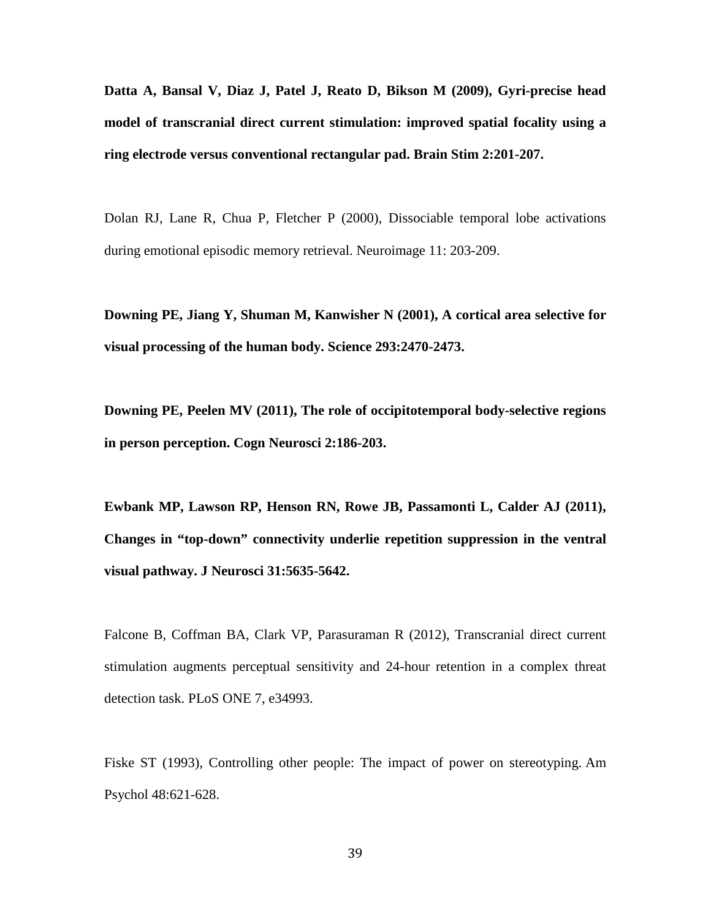**Datta A, Bansal V, Diaz J, Patel J, Reato D, Bikson M (2009), Gyri-precise head model of transcranial direct current stimulation: improved spatial focality using a ring electrode versus conventional rectangular pad. Brain Stim 2:201-207.**

Dolan RJ, Lane R, Chua P, Fletcher P (2000), Dissociable temporal lobe activations during emotional episodic memory retrieval. Neuroimage 11: 203-209.

**Downing PE, Jiang Y, Shuman M, Kanwisher N (2001), A cortical area selective for visual processing of the human body. Science 293:2470-2473.**

**Downing PE, Peelen MV (2011), The role of occipitotemporal body-selective regions in person perception. Cogn Neurosci 2:186-203.**

**Ewbank MP, Lawson RP, Henson RN, Rowe JB, Passamonti L, Calder AJ (2011), Changes in "top-down" connectivity underlie repetition suppression in the ventral visual pathway. J Neurosci 31:5635-5642.**

Falcone B, Coffman BA, Clark VP, Parasuraman R (2012), Transcranial direct current stimulation augments perceptual sensitivity and 24-hour retention in a complex threat detection task. PLoS ONE 7, e34993.

Fiske ST (1993), Controlling other people: The impact of power on stereotyping. Am Psychol 48:621-628.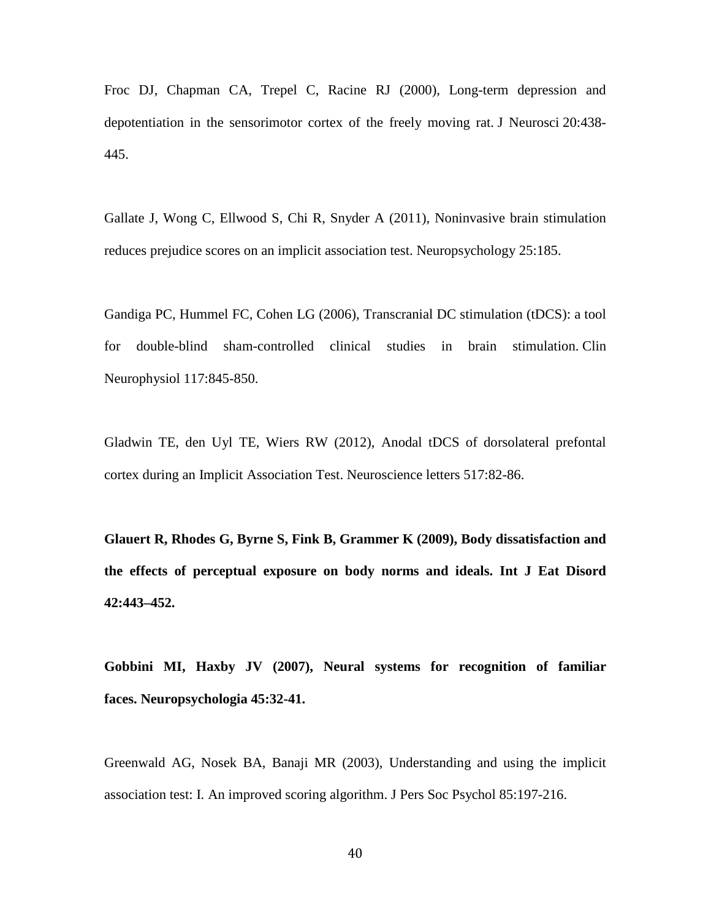Froc DJ, Chapman CA, Trepel C, Racine RJ (2000), Long-term depression and depotentiation in the sensorimotor cortex of the freely moving rat. J Neurosci 20:438- 445.

Gallate J, Wong C, Ellwood S, Chi R, Snyder A (2011), Noninvasive brain stimulation reduces prejudice scores on an implicit association test. Neuropsychology 25:185.

Gandiga PC, Hummel FC, Cohen LG (2006), Transcranial DC stimulation (tDCS): a tool for double-blind sham-controlled clinical studies in brain stimulation. Clin Neurophysiol 117:845-850.

Gladwin TE, den Uyl TE, Wiers RW (2012), Anodal tDCS of dorsolateral prefontal cortex during an Implicit Association Test. Neuroscience letters 517:82-86.

**Glauert R, Rhodes G, Byrne S, Fink B, Grammer K (2009), Body dissatisfaction and the effects of perceptual exposure on body norms and ideals. Int J Eat Disord 42:443–452.**

**Gobbini MI, Haxby JV (2007), Neural systems for recognition of familiar faces. Neuropsychologia 45:32-41.**

Greenwald AG, Nosek BA, Banaji MR (2003), Understanding and using the implicit association test: I. An improved scoring algorithm. J Pers Soc Psychol 85:197-216.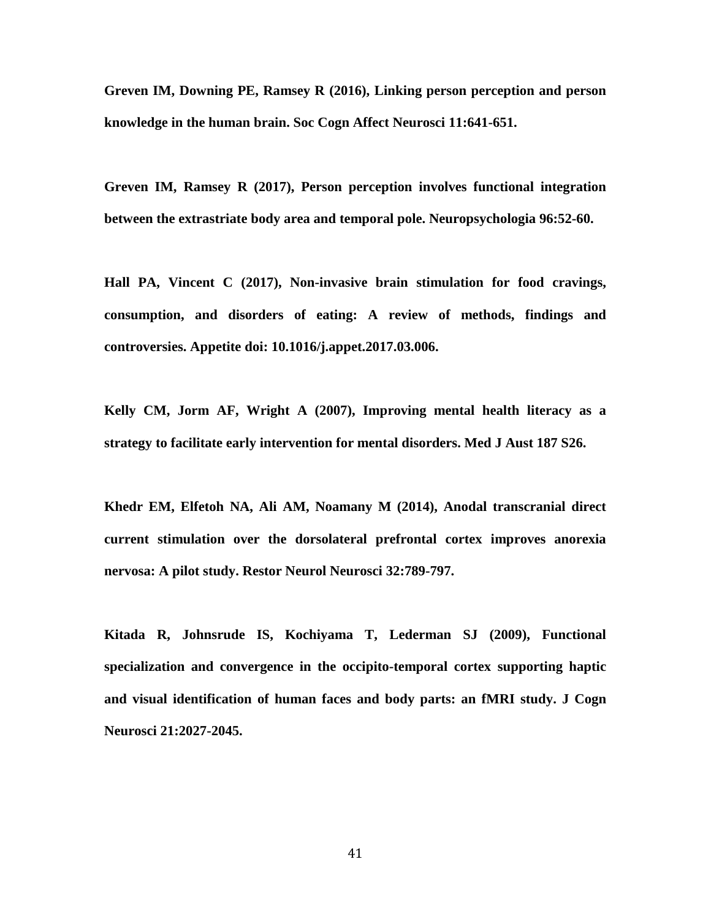**Greven IM, Downing PE, Ramsey R (2016), Linking person perception and person knowledge in the human brain. Soc Cogn Affect Neurosci 11:641-651.**

**Greven IM, Ramsey R (2017), Person perception involves functional integration between the extrastriate body area and temporal pole. Neuropsychologia 96:52-60.**

**Hall PA, Vincent C (2017), Non-invasive brain stimulation for food cravings, consumption, and disorders of eating: A review of methods, findings and controversies. Appetite doi: 10.1016/j.appet.2017.03.006.**

**Kelly CM, Jorm AF, Wright A (2007), Improving mental health literacy as a strategy to facilitate early intervention for mental disorders. Med J Aust 187 S26.**

**Khedr EM, Elfetoh NA, Ali AM, Noamany M (2014), Anodal transcranial direct current stimulation over the dorsolateral prefrontal cortex improves anorexia nervosa: A pilot study. Restor Neurol Neurosci 32:789-797.**

**Kitada R, Johnsrude IS, Kochiyama T, Lederman SJ (2009), Functional specialization and convergence in the occipito-temporal cortex supporting haptic and visual identification of human faces and body parts: an fMRI study. J Cogn Neurosci 21:2027-2045.**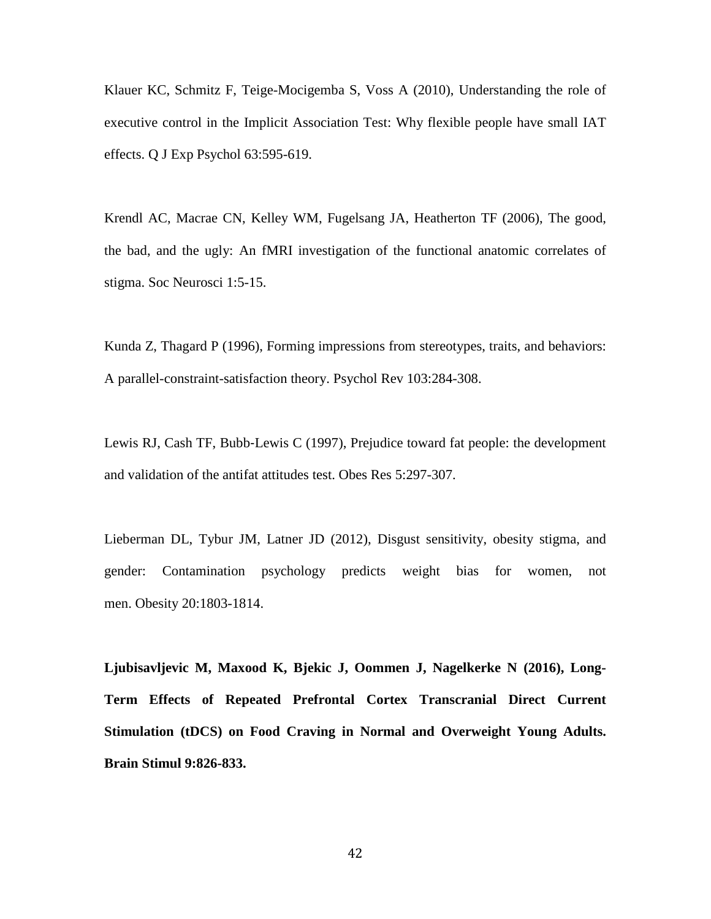Klauer KC, Schmitz F, Teige-Mocigemba S, Voss A (2010), Understanding the role of executive control in the Implicit Association Test: Why flexible people have small IAT effects. Q J Exp Psychol 63:595-619.

Krendl AC, Macrae CN, Kelley WM, Fugelsang JA, Heatherton TF (2006), The good, the bad, and the ugly: An fMRI investigation of the functional anatomic correlates of stigma. Soc Neurosci 1:5-15.

Kunda Z, Thagard P (1996), Forming impressions from stereotypes, traits, and behaviors: A parallel-constraint-satisfaction theory. Psychol Rev 103:284-308.

Lewis RJ, Cash TF, Bubb‐Lewis C (1997), Prejudice toward fat people: the development and validation of the antifat attitudes test. Obes Res 5:297-307.

Lieberman DL, Tybur JM, Latner JD (2012), Disgust sensitivity, obesity stigma, and gender: Contamination psychology predicts weight bias for women, not men. Obesity 20:1803-1814.

**Ljubisavljevic M, Maxood K, Bjekic J, Oommen J, Nagelkerke N (2016), Long-Term Effects of Repeated Prefrontal Cortex Transcranial Direct Current Stimulation (tDCS) on Food Craving in Normal and Overweight Young Adults. Brain Stimul 9:826-833.**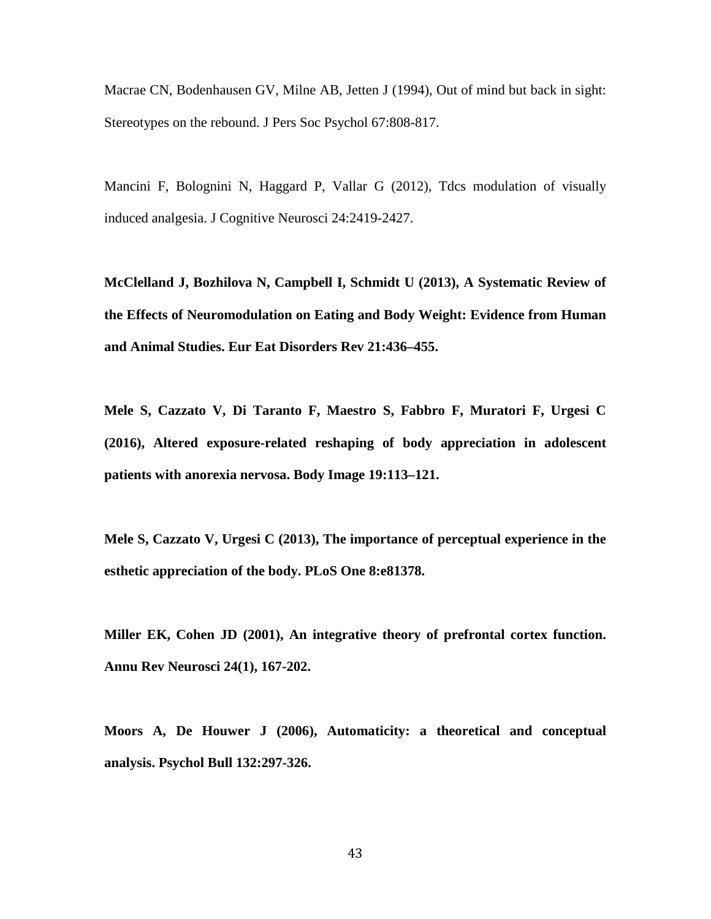Macrae CN, Bodenhausen GV, Milne AB, Jetten J (1994), Out of mind but back in sight: Stereotypes on the rebound. J Pers Soc Psychol 67:808-817.

Mancini F, Bolognini N, Haggard P, Vallar G (2012), Tdcs modulation of visually induced analgesia. J Cognitive Neurosci 24:2419-2427.

**McClelland J, Bozhilova N, Campbell I, Schmidt U (2013), A Systematic Review of the Effects of Neuromodulation on Eating and Body Weight: Evidence from Human and Animal Studies. Eur Eat Disorders Rev 21:436–455.**

**Mele S, Cazzato V, Di Taranto F, Maestro S, Fabbro F, Muratori F, Urgesi C (2016), Altered exposure-related reshaping of body appreciation in adolescent patients with anorexia nervosa. Body Image 19:113–121.**

**Mele S, Cazzato V, Urgesi C (2013), The importance of perceptual experience in the esthetic appreciation of the body. PLoS One 8:e81378.**

**Miller EK, Cohen JD (2001), An integrative theory of prefrontal cortex function. Annu Rev Neurosci 24(1), 167-202.**

**Moors A, De Houwer J (2006), Automaticity: a theoretical and conceptual analysis. Psychol Bull 132:297-326.**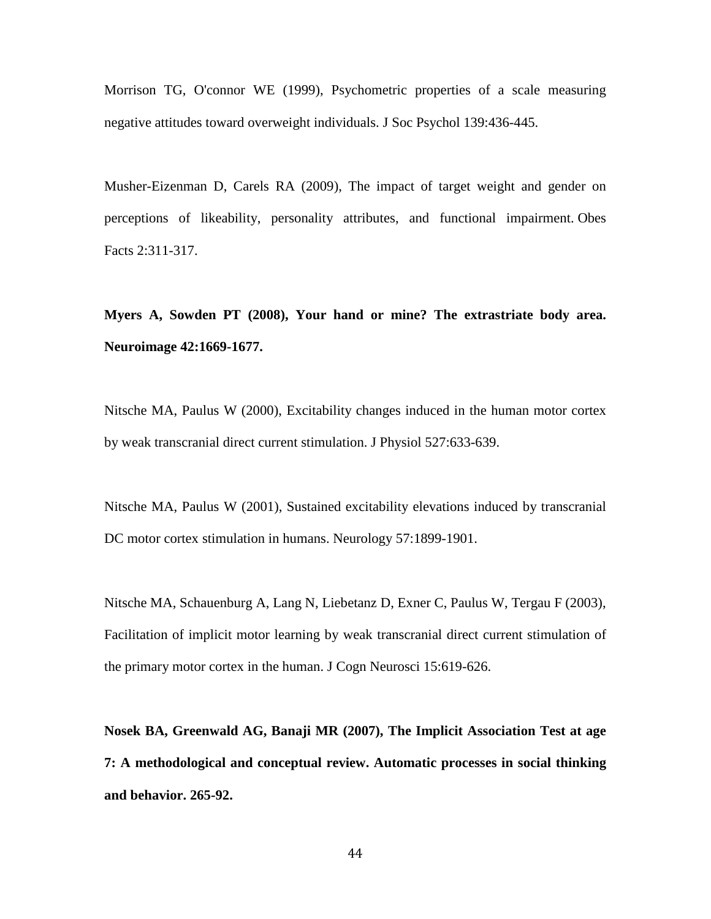Morrison TG, O'connor WE (1999), Psychometric properties of a scale measuring negative attitudes toward overweight individuals. J Soc Psychol 139:436-445.

Musher-Eizenman D, Carels RA (2009), The impact of target weight and gender on perceptions of likeability, personality attributes, and functional impairment. Obes Facts 2:311-317.

**Myers A, Sowden PT (2008), Your hand or mine? The extrastriate body area. Neuroimage 42:1669-1677.**

Nitsche MA, Paulus W (2000), Excitability changes induced in the human motor cortex by weak transcranial direct current stimulation. J Physiol 527:633-639.

Nitsche MA, Paulus W (2001), Sustained excitability elevations induced by transcranial DC motor cortex stimulation in humans. Neurology 57:1899-1901.

Nitsche MA, Schauenburg A, Lang N, Liebetanz D, Exner C, Paulus W, Tergau F (2003), Facilitation of implicit motor learning by weak transcranial direct current stimulation of the primary motor cortex in the human. J Cogn Neurosci 15:619-626.

**Nosek BA, Greenwald AG, Banaji MR (2007), The Implicit Association Test at age 7: A methodological and conceptual review. Automatic processes in social thinking and behavior. 265-92.**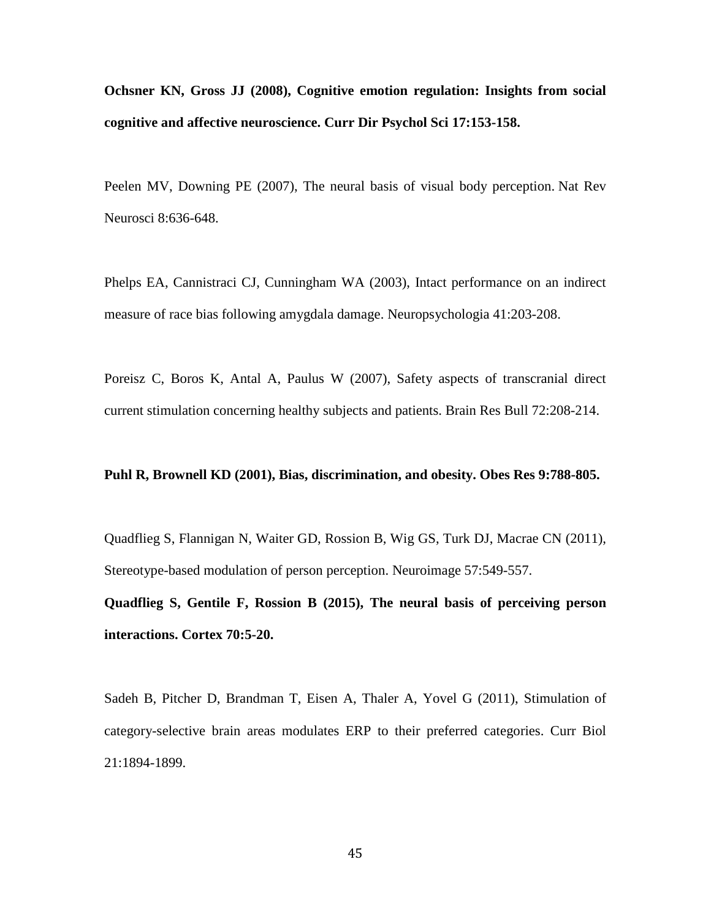**Ochsner KN, Gross JJ (2008), Cognitive emotion regulation: Insights from social cognitive and affective neuroscience. Curr Dir Psychol Sci 17:153-158.**

Peelen MV, Downing PE (2007), The neural basis of visual body perception. Nat Rev Neurosci 8:636-648.

Phelps EA, Cannistraci CJ, Cunningham WA (2003), Intact performance on an indirect measure of race bias following amygdala damage. Neuropsychologia 41:203-208.

Poreisz C, Boros K, Antal A, Paulus W (2007), Safety aspects of transcranial direct current stimulation concerning healthy subjects and patients. Brain Res Bull 72:208-214.

**Puhl R, Brownell KD (2001), Bias, discrimination, and obesity. Obes Res 9:788-805.**

Quadflieg S, Flannigan N, Waiter GD, Rossion B, Wig GS, Turk DJ, Macrae CN (2011), Stereotype-based modulation of person perception. Neuroimage 57:549-557.

**Quadflieg S, Gentile F, Rossion B (2015), The neural basis of perceiving person interactions. Cortex 70:5-20.**

Sadeh B, Pitcher D, Brandman T, Eisen A, Thaler A, Yovel G (2011), Stimulation of category-selective brain areas modulates ERP to their preferred categories. Curr Biol 21:1894-1899.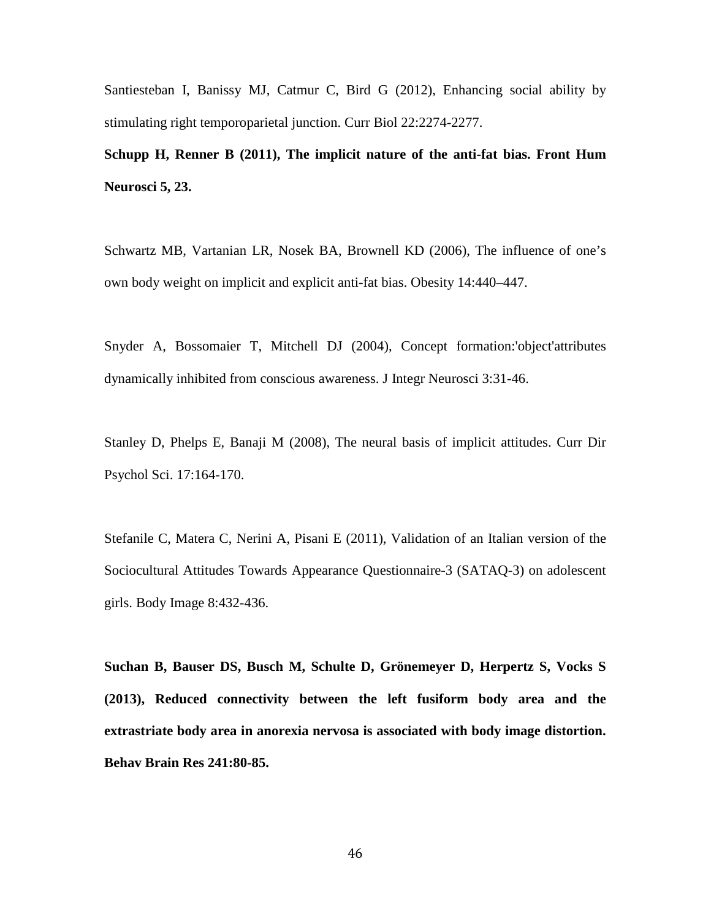Santiesteban I, Banissy MJ, Catmur C, Bird G (2012), Enhancing social ability by stimulating right temporoparietal junction. Curr Biol 22:2274-2277.

**Schupp H, Renner B (2011), The implicit nature of the anti-fat bias. Front Hum Neurosci 5, 23.**

Schwartz MB, Vartanian LR, Nosek BA, Brownell KD (2006), The influence of one's own body weight on implicit and explicit anti-fat bias. Obesity 14:440–447.

Snyder A, Bossomaier T, Mitchell DJ (2004), Concept formation:'object'attributes dynamically inhibited from conscious awareness. J Integr Neurosci 3:31-46.

Stanley D, Phelps E, Banaji M (2008), The neural basis of implicit attitudes. Curr Dir Psychol Sci. 17:164-170.

Stefanile C, Matera C, Nerini A, Pisani E (2011), Validation of an Italian version of the Sociocultural Attitudes Towards Appearance Questionnaire-3 (SATAQ-3) on adolescent girls. Body Image 8:432-436.

**Suchan B, Bauser DS, Busch M, Schulte D, Grönemeyer D, Herpertz S, Vocks S (2013), Reduced connectivity between the left fusiform body area and the extrastriate body area in anorexia nervosa is associated with body image distortion. Behav Brain Res 241:80-85.**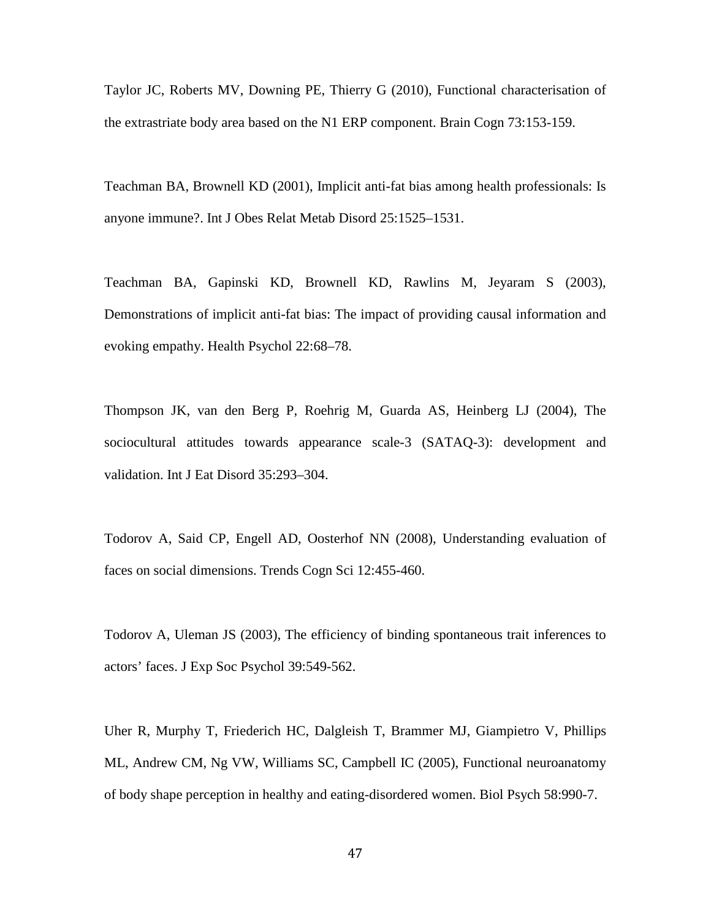Taylor JC, Roberts MV, Downing PE, Thierry G (2010), Functional characterisation of the extrastriate body area based on the N1 ERP component. Brain Cogn 73:153-159.

Teachman BA, Brownell KD (2001), Implicit anti-fat bias among health professionals: Is anyone immune?. Int J Obes Relat Metab Disord 25:1525–1531.

Teachman BA, Gapinski KD, Brownell KD, Rawlins M, Jeyaram S (2003), Demonstrations of implicit anti-fat bias: The impact of providing causal information and evoking empathy. Health Psychol 22:68–78.

Thompson JK, van den Berg P, Roehrig M, Guarda AS, Heinberg LJ (2004), The sociocultural attitudes towards appearance scale-3 (SATAQ-3): development and validation. Int J Eat Disord 35:293–304.

Todorov A, Said CP, Engell AD, Oosterhof NN (2008), Understanding evaluation of faces on social dimensions. Trends Cogn Sci 12:455-460.

Todorov A, Uleman JS (2003), The efficiency of binding spontaneous trait inferences to actors' faces. J Exp Soc Psychol 39:549-562.

Uher R, Murphy T, Friederich HC, Dalgleish T, Brammer MJ, Giampietro V, Phillips ML, Andrew CM, Ng VW, Williams SC, Campbell IC (2005), Functional neuroanatomy of body shape perception in healthy and eating-disordered women. Biol Psych 58:990-7.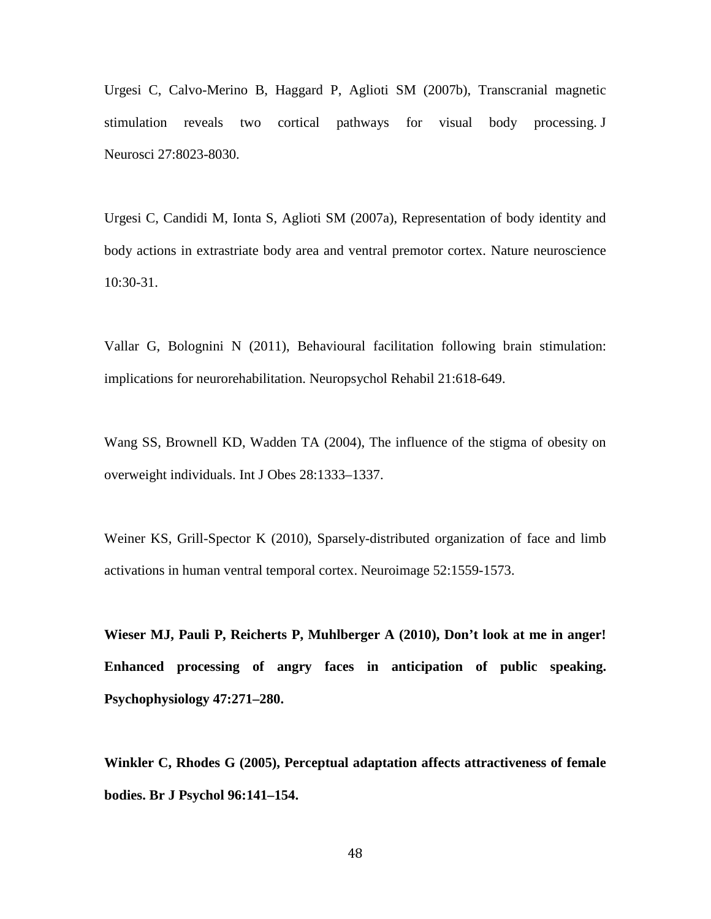Urgesi C, Calvo-Merino B, Haggard P, Aglioti SM (2007b), Transcranial magnetic stimulation reveals two cortical pathways for visual body processing. J Neurosci 27:8023-8030.

Urgesi C, Candidi M, Ionta S, Aglioti SM (2007a), Representation of body identity and body actions in extrastriate body area and ventral premotor cortex. Nature neuroscience 10:30-31.

Vallar G, Bolognini N (2011), Behavioural facilitation following brain stimulation: implications for neurorehabilitation. Neuropsychol Rehabil 21:618-649.

Wang SS, Brownell KD, Wadden TA (2004), The influence of the stigma of obesity on overweight individuals. Int J Obes 28:1333–1337.

Weiner KS, Grill-Spector K (2010), Sparsely-distributed organization of face and limb activations in human ventral temporal cortex. Neuroimage 52:1559-1573.

**Wieser MJ, Pauli P, Reicherts P, Muhlberger A (2010), Don't look at me in anger! Enhanced processing of angry faces in anticipation of public speaking. Psychophysiology 47:271–280.**

**Winkler C, Rhodes G (2005), Perceptual adaptation affects attractiveness of female bodies. Br J Psychol 96:141–154.**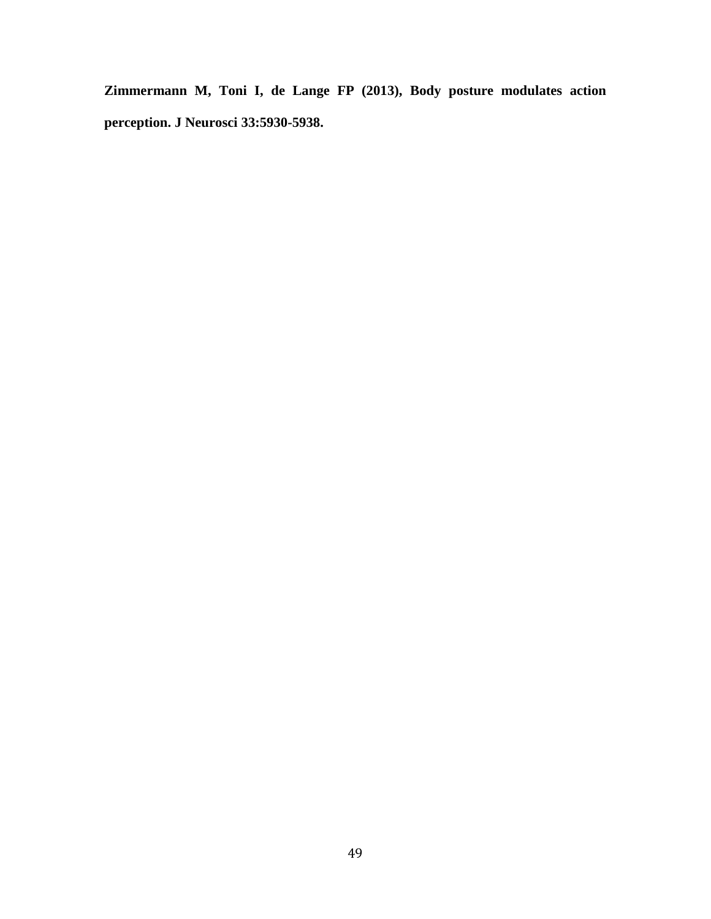**Zimmermann M, Toni I, de Lange FP (2013), Body posture modulates action perception. J Neurosci 33:5930-5938.**